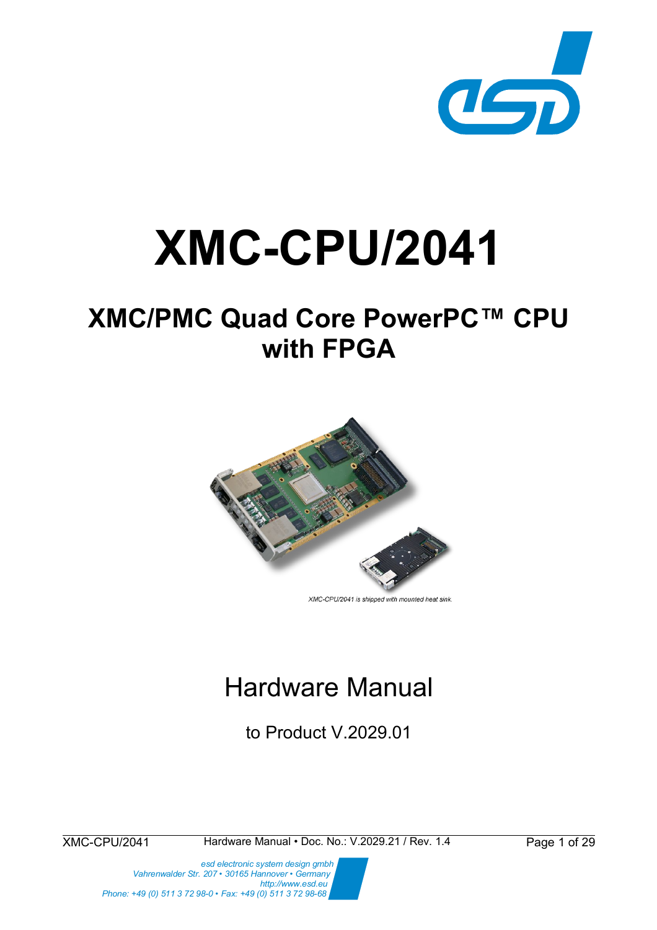

# **XMC-CPU/2041**

# **XMC/PMC Quad Core PowerPC™ CPU with FPGA**



XMC-CPU/2041 is shipped with mounted heat sink

# Hardware Manual

to Product V.2029.01

XMC-CPU/2041 Hardware Manual • Doc. No.: V.2029.21 / Rev. 1.4 Page 1 of 29

 *esd electronic system design gmbh Vahrenwalder Str. 207 • 30165 Hannover • Germany http://www.esd.eu Phone: +49 (0) 511 3 72 98-0 • Fax: +49 (0) 511 3 72 98-68*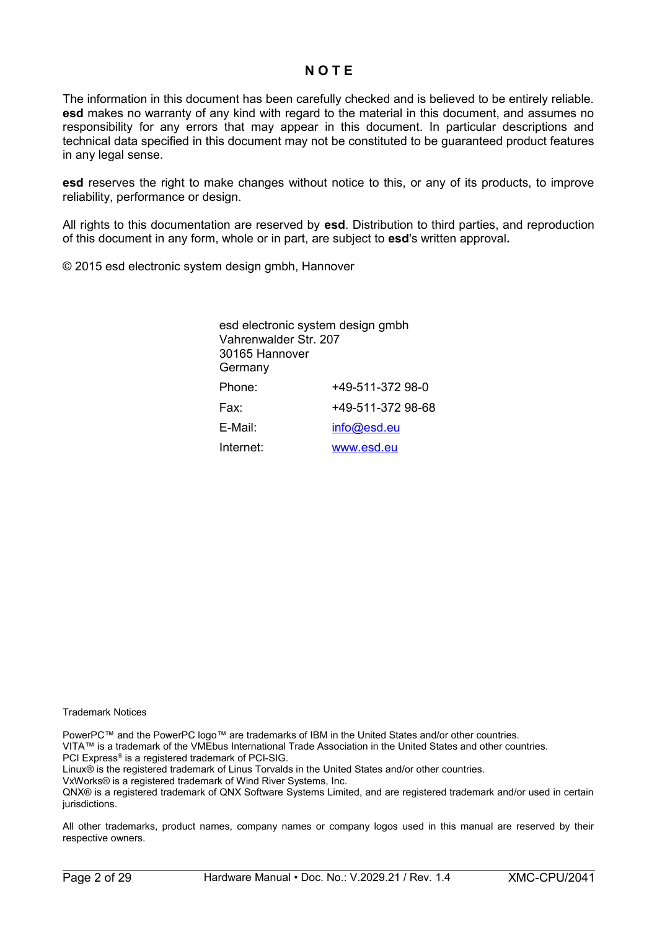#### **N O T E**

The information in this document has been carefully checked and is believed to be entirely reliable. **esd** makes no warranty of any kind with regard to the material in this document, and assumes no responsibility for any errors that may appear in this document. In particular descriptions and technical data specified in this document may not be constituted to be guaranteed product features in any legal sense.

**esd** reserves the right to make changes without notice to this, or any of its products, to improve reliability, performance or design.

All rights to this documentation are reserved by **esd**. Distribution to third parties, and reproduction of this document in any form, whole or in part, are subject to **esd**'s written approval**.**

© 2015 esd electronic system design gmbh, Hannover

| esd electronic system design gmbh<br>Vahrenwalder Str. 207<br>30165 Hannover<br>Germany |                   |
|-----------------------------------------------------------------------------------------|-------------------|
| Phone:                                                                                  | +49-511-372 98-0  |
| Fax:                                                                                    | +49-511-372 98-68 |
| E-Mail:                                                                                 | info@esd.eu       |
| Internet:                                                                               | www.esd.eu        |
|                                                                                         |                   |

Trademark Notices

PowerPC™ and the PowerPC logo™ are trademarks of IBM in the United States and/or other countries. VITA™ is a trademark of the VMEbus International Trade Association in the United States and other countries. PCI Express® is a registered trademark of PCI-SIG. Linux® is the registered trademark of Linus Torvalds in the United States and/or other countries. VxWorks® is a registered trademark of Wind River Systems, Inc.

QNX® is a registered trademark of QNX Software Systems Limited, and are registered trademark and/or used in certain jurisdictions.

All other trademarks, product names, company names or company logos used in this manual are reserved by their respective owners.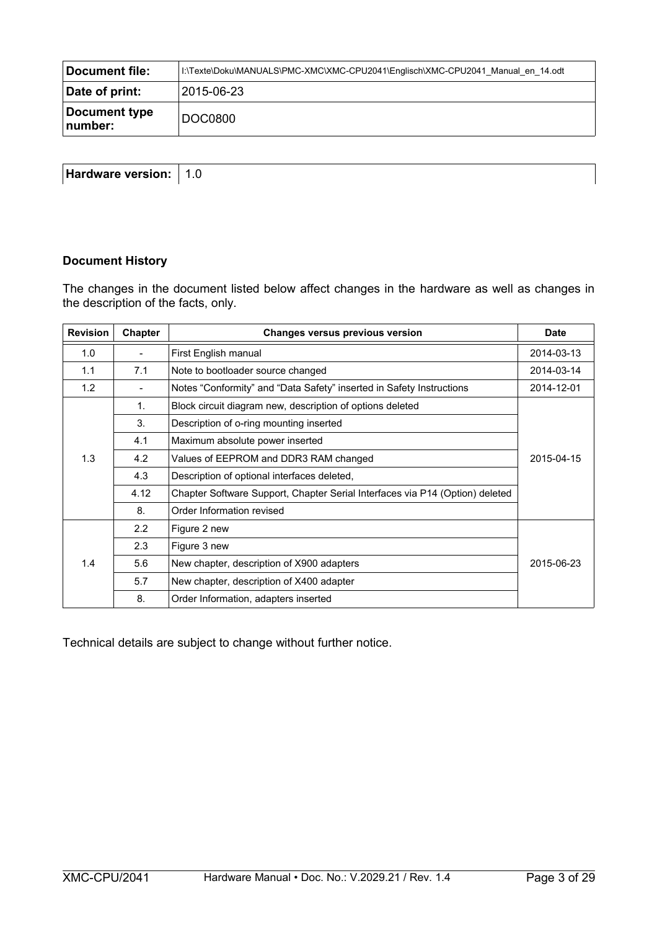| Document file:           | I:\Texte\Doku\MANUALS\PMC-XMC\XMC-CPU2041\Englisch\XMC-CPU2041 Manual en 14.odt |
|--------------------------|---------------------------------------------------------------------------------|
| Date of print:           | 2015-06-23                                                                      |
| Document type<br>number: | DOC0800                                                                         |

| <b>Hardware</b><br>. . <i>. .</i><br>raware<br>vΑ<br>$\cdot$<br>.<br>__ |  |
|-------------------------------------------------------------------------|--|
|                                                                         |  |

#### **Document History**

The changes in the document listed below affect changes in the hardware as well as changes in the description of the facts, only.

| <b>Revision</b> | <b>Chapter</b> | <b>Changes versus previous version</b>                                       | <b>Date</b> |
|-----------------|----------------|------------------------------------------------------------------------------|-------------|
| 1.0             |                | First English manual<br>2014-03-13                                           |             |
| 1.1             | 7.1            | Note to bootloader source changed                                            | 2014-03-14  |
| 1.2             |                | Notes "Conformity" and "Data Safety" inserted in Safety Instructions         | 2014-12-01  |
|                 | $\mathbf{1}$ . | Block circuit diagram new, description of options deleted                    |             |
|                 | 3.             | Description of o-ring mounting inserted                                      |             |
|                 | 4.1            | Maximum absolute power inserted                                              |             |
| 1.3             | 4.2            | Values of EEPROM and DDR3 RAM changed                                        | 2015-04-15  |
|                 | 4.3            | Description of optional interfaces deleted,                                  |             |
|                 | 4.12           | Chapter Software Support, Chapter Serial Interfaces via P14 (Option) deleted |             |
|                 | 8.             | Order Information revised                                                    |             |
|                 | 2.2            | Figure 2 new                                                                 |             |
|                 | 2.3            | Figure 3 new                                                                 |             |
| 1.4             | 5.6            | New chapter, description of X900 adapters                                    | 2015-06-23  |
|                 | 5.7            | New chapter, description of X400 adapter                                     |             |
|                 | 8.             | Order Information, adapters inserted                                         |             |

Technical details are subject to change without further notice.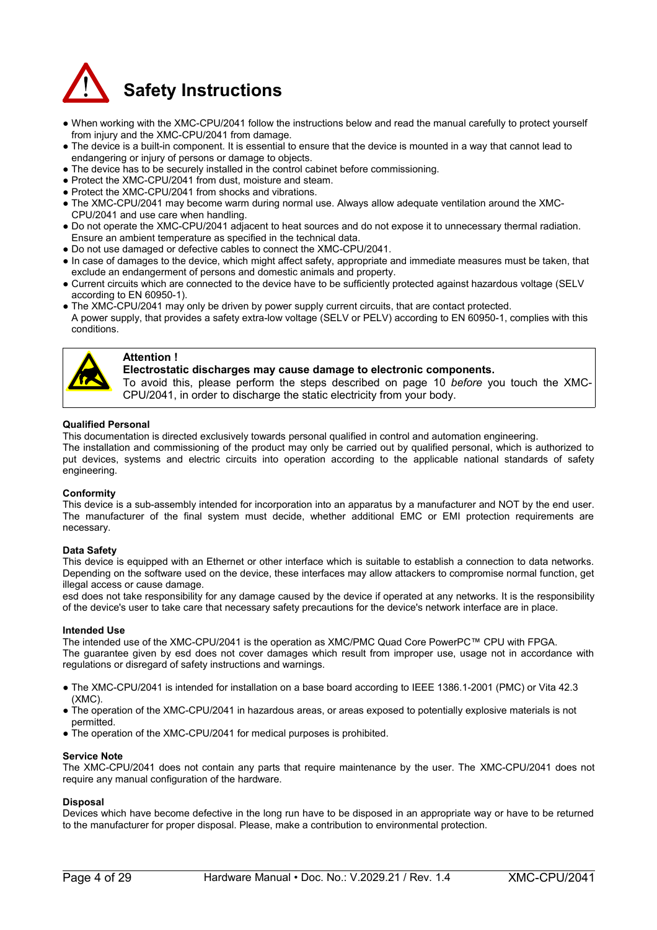

- When working with the XMC-CPU/2041 follow the instructions below and read the manual carefully to protect yourself from injury and the XMC-CPU/2041 from damage.
- The device is a built-in component. It is essential to ensure that the device is mounted in a way that cannot lead to endangering or injury of persons or damage to objects.
- The device has to be securely installed in the control cabinet before commissioning.
- Protect the XMC-CPU/2041 from dust, moisture and steam.
- Protect the XMC-CPU/2041 from shocks and vibrations.
- The XMC-CPU/2041 may become warm during normal use. Always allow adequate ventilation around the XMC-CPU/2041 and use care when handling.
- Do not operate the XMC-CPU/2041 adjacent to heat sources and do not expose it to unnecessary thermal radiation. Ensure an ambient temperature as specified in the technical data.
- Do not use damaged or defective cables to connect the XMC-CPU/2041.
- In case of damages to the device, which might affect safety, appropriate and immediate measures must be taken, that exclude an endangerment of persons and domestic animals and property.
- Current circuits which are connected to the device have to be sufficiently protected against hazardous voltage (SELV according to EN 60950-1).
- The XMC-CPU/2041 may only be driven by power supply current circuits, that are contact protected. A power supply, that provides a safety extra-low voltage (SELV or PELV) according to EN 60950-1, complies with this conditions.



#### **Attention !**

**Electrostatic discharges may cause damage to electronic components.** 

To avoid this, please perform the steps described on page [10](#page-9-0) *before* you touch the XMC-CPU/2041, in order to discharge the static electricity from your body.

#### **Qualified Personal**

This documentation is directed exclusively towards personal qualified in control and automation engineering.

The installation and commissioning of the product may only be carried out by qualified personal, which is authorized to put devices, systems and electric circuits into operation according to the applicable national standards of safety engineering.

#### **Conformity**

This device is a sub-assembly intended for incorporation into an apparatus by a manufacturer and NOT by the end user. The manufacturer of the final system must decide, whether additional EMC or EMI protection requirements are necessary.

#### **Data Safety**

This device is equipped with an Ethernet or other interface which is suitable to establish a connection to data networks. Depending on the software used on the device, these interfaces may allow attackers to compromise normal function, get illegal access or cause damage.

esd does not take responsibility for any damage caused by the device if operated at any networks. It is the responsibility of the device's user to take care that necessary safety precautions for the device's network interface are in place.

#### **Intended Use**

The intended use of the XMC-CPU/2041 is the operation as XMC/PMC Quad Core PowerPC™ CPU with FPGA. The guarantee given by esd does not cover damages which result from improper use, usage not in accordance with regulations or disregard of safety instructions and warnings.

- The XMC-CPU/2041 is intended for installation on a base board according to IEEE 1386.1-2001 (PMC) or Vita 42.3 (XMC).
- The operation of the XMC-CPU/2041 in hazardous areas, or areas exposed to potentially explosive materials is not permitted.
- The operation of the XMC-CPU/2041 for medical purposes is prohibited.

#### **Service Note**

The XMC-CPU/2041 does not contain any parts that require maintenance by the user. The XMC-CPU/2041 does not require any manual configuration of the hardware.

#### **Disposal**

Devices which have become defective in the long run have to be disposed in an appropriate way or have to be returned to the manufacturer for proper disposal. Please, make a contribution to environmental protection.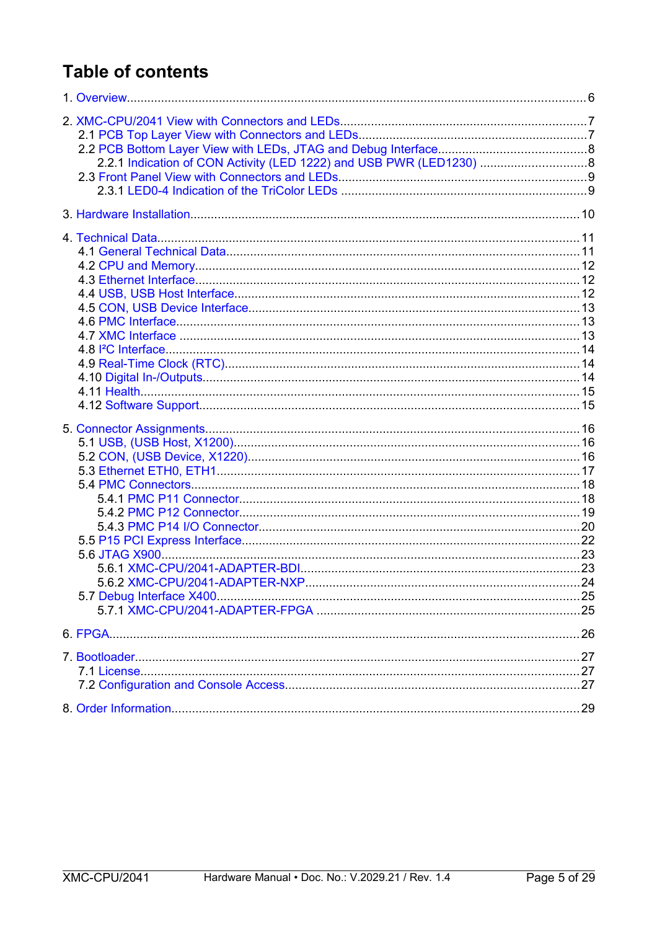# **Table of contents**

| 2.2.1 Indication of CON Activity (LED 1222) and USB PWR (LED1230) 8 |  |
|---------------------------------------------------------------------|--|
|                                                                     |  |
|                                                                     |  |
|                                                                     |  |
|                                                                     |  |
|                                                                     |  |
|                                                                     |  |
|                                                                     |  |
|                                                                     |  |
|                                                                     |  |
|                                                                     |  |
|                                                                     |  |
|                                                                     |  |
|                                                                     |  |
|                                                                     |  |
|                                                                     |  |
|                                                                     |  |
|                                                                     |  |
|                                                                     |  |
|                                                                     |  |
|                                                                     |  |
|                                                                     |  |
|                                                                     |  |
|                                                                     |  |
|                                                                     |  |
|                                                                     |  |
|                                                                     |  |
|                                                                     |  |
|                                                                     |  |
|                                                                     |  |
|                                                                     |  |
|                                                                     |  |
|                                                                     |  |
|                                                                     |  |
|                                                                     |  |
|                                                                     |  |
|                                                                     |  |
|                                                                     |  |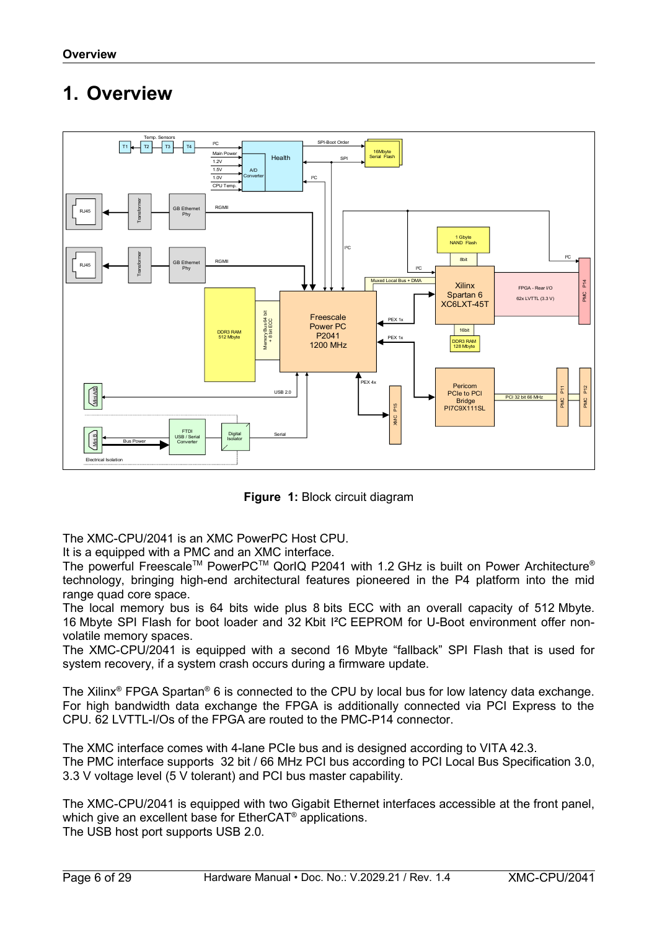# <span id="page-5-0"></span>**1. Overview**



**Figure 1:** Block circuit diagram

The XMC-CPU/2041 is an XMC PowerPC Host CPU.

It is a equipped with a PMC and an XMC interface.

The powerful Freescale<sup>TM</sup> PowerPC<sup>TM</sup> QorIQ P2041 with 1.2 GHz is built on Power Architecture<sup>®</sup> technology, bringing high-end architectural features pioneered in the P4 platform into the mid range quad core space.

The local memory bus is 64 bits wide plus 8 bits ECC with an overall capacity of 512 Mbyte. 16 Mbyte SPI Flash for boot loader and 32 Kbit I²C EEPROM for U-Boot environment offer nonvolatile memory spaces.

The XMC-CPU/2041 is equipped with a second 16 Mbyte "fallback" SPI Flash that is used for system recovery, if a system crash occurs during a firmware update.

The Xilinx<sup>®</sup> FPGA Spartan® 6 is connected to the CPU by local bus for low latency data exchange. For high bandwidth data exchange the FPGA is additionally connected via PCI Express to the CPU. 62 LVTTL-I/Os of the FPGA are routed to the PMC-P14 connector.

The XMC interface comes with 4-lane PCIe bus and is designed according to VITA 42.3. The PMC interface supports 32 bit / 66 MHz PCI bus according to PCI Local Bus Specification 3.0, 3.3 V voltage level (5 V tolerant) and PCI bus master capability.

The XMC-CPU/2041 is equipped with two Gigabit Ethernet interfaces accessible at the front panel, which give an excellent base for EtherCAT<sup>®</sup> applications. The USB host port supports USB 2.0.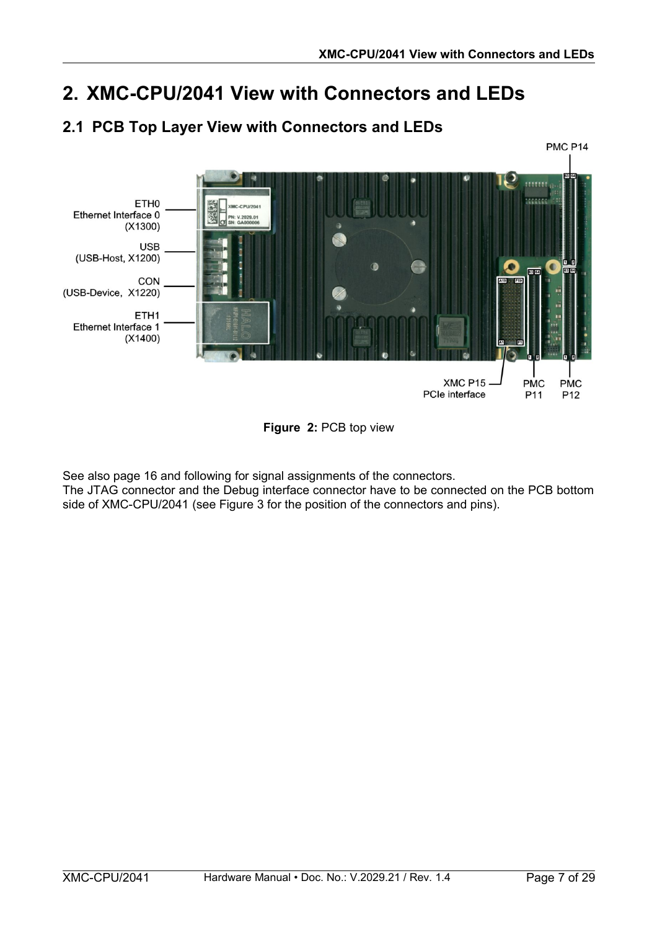# <span id="page-6-1"></span>**2. XMC-CPU/2041 View with Connectors and LEDs**

### <span id="page-6-0"></span>**2.1 PCB Top Layer View with Connectors and LEDs**





See also page [16](#page-15-2) and following for signal assignments of the connectors.

The JTAG connector and the Debug interface connector have to be connected on the PCB bottom side of XMC-CPU/2041 (see Figure [3](#page-7-2) for the position of the connectors and pins).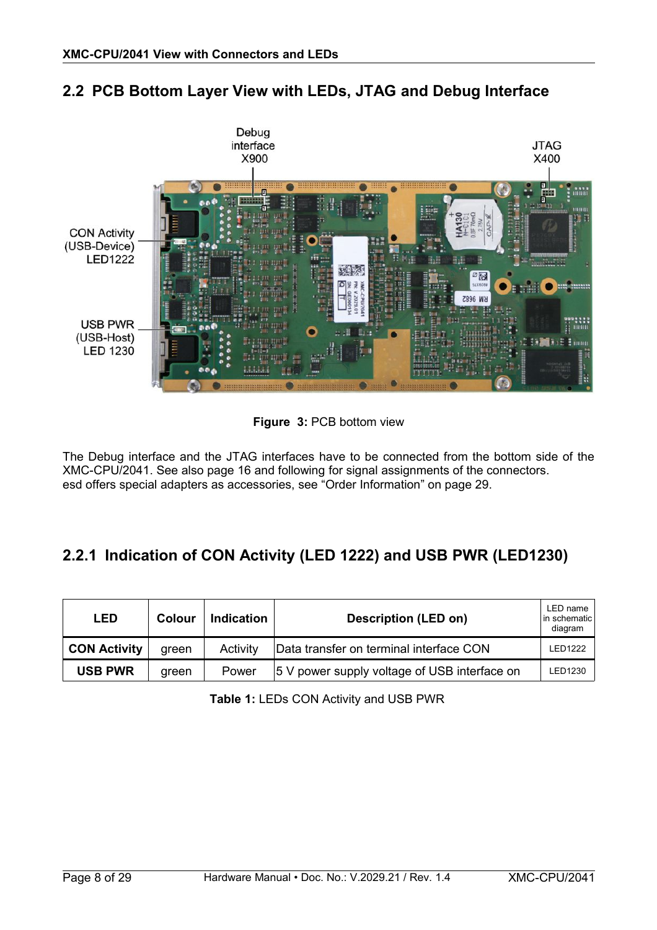

### <span id="page-7-1"></span>**2.2 PCB Bottom Layer View with LEDs, JTAG and Debug Interface**

<span id="page-7-2"></span>**Figure 3:** PCB bottom view

The Debug interface and the JTAG interfaces have to be connected from the bottom side of the XMC-CPU/2041. See also page [16](#page-15-2) and following for signal assignments of the connectors. esd offers special adapters as accessories, see ["Order Information"](#page-28-0) on page [29.](#page-28-0)

### <span id="page-7-0"></span>**2.2.1 Indication of CON Activity (LED 1222) and USB PWR (LED1230)**

| LED                 | Colour | <b>Indication</b> | <b>Description (LED on)</b>                  | LED name<br>l in schematic l<br>diagram |
|---------------------|--------|-------------------|----------------------------------------------|-----------------------------------------|
| <b>CON Activity</b> | areen  | Activity          | Data transfer on terminal interface CON      | <b>LED1222</b>                          |
| <b>USB PWR</b>      | areen  | Power             | 5 V power supply voltage of USB interface on | LED1230                                 |

**Table 1:** LEDs CON Activity and USB PWR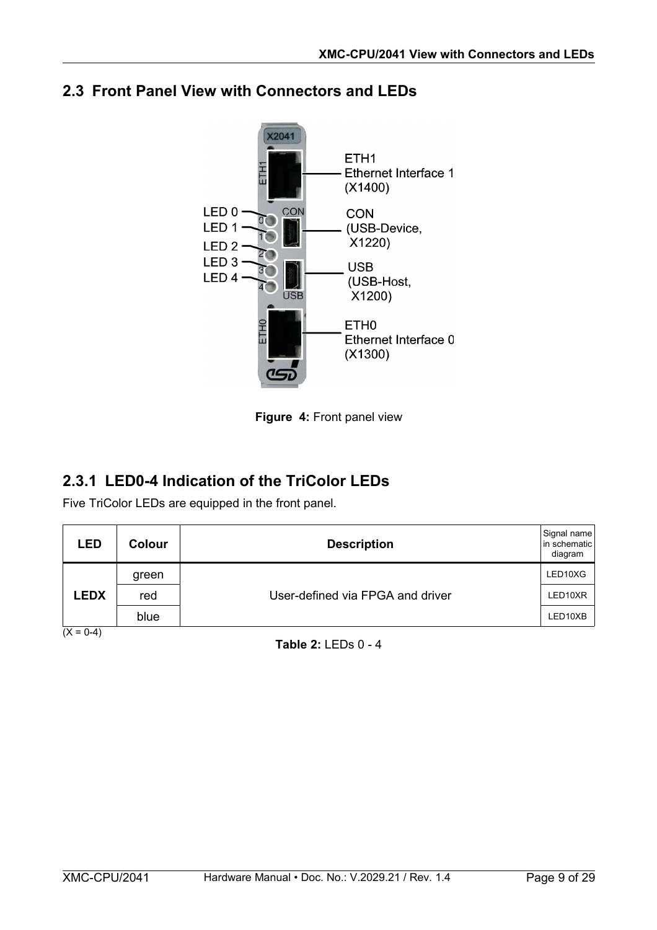

### <span id="page-8-1"></span>**2.3 Front Panel View with Connectors and LEDs**

**Figure 4:** Front panel view

### <span id="page-8-0"></span>**2.3.1 LED0-4 Indication of the TriColor LEDs**

Five TriColor LEDs are equipped in the front panel.

| <b>LED</b>  | <b>Colour</b> | <b>Description</b>               | Signal name<br>in schematic<br>diagram |
|-------------|---------------|----------------------------------|----------------------------------------|
|             | green         |                                  | LED10XG                                |
| <b>LEDX</b> | red           | User-defined via FPGA and driver | LED10XR                                |
|             | blue          |                                  | LED10XB                                |
| $(X = 0-4)$ |               |                                  |                                        |

**Table 2:** LEDs 0 - 4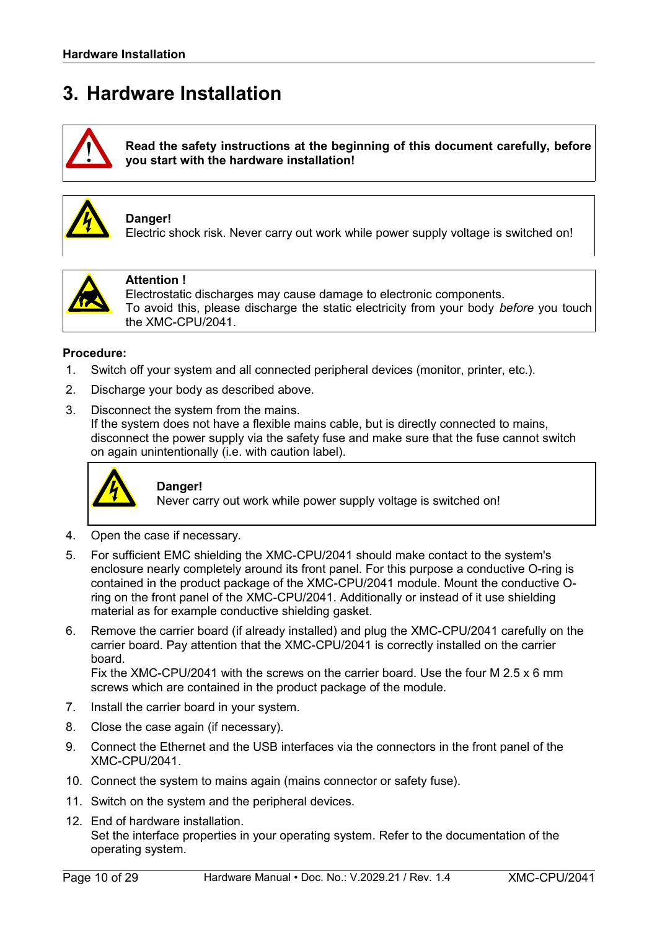# <span id="page-9-0"></span>**3. Hardware Installation**



**Read the safety instructions at the beginning of this document carefully, before you start with the hardware installation!**



#### **Danger!**

Electric shock risk. Never carry out work while power supply voltage is switched on!



#### **Attention !**

Electrostatic discharges may cause damage to electronic components. To avoid this, please discharge the static electricity from your body *before* you touch the XMC-CPU/2041.

#### **Procedure:**

- 1. Switch off your system and all connected peripheral devices (monitor, printer, etc.).
- 2. Discharge your body as described above.
- 3. Disconnect the system from the mains.

If the system does not have a flexible mains cable, but is directly connected to mains, disconnect the power supply via the safety fuse and make sure that the fuse cannot switch on again unintentionally (i.e. with caution label).



#### **Danger!**

Never carry out work while power supply voltage is switched on!

- 4. Open the case if necessary.
- 5. For sufficient EMC shielding the XMC-CPU/2041 should make contact to the system's enclosure nearly completely around its front panel. For this purpose a conductive O-ring is contained in the product package of the XMC-CPU/2041 module. Mount the conductive Oring on the front panel of the XMC-CPU/2041. Additionally or instead of it use shielding material as for example conductive shielding gasket.
- 6. Remove the carrier board (if already installed) and plug the XMC-CPU/2041 carefully on the carrier board. Pay attention that the XMC-CPU/2041 is correctly installed on the carrier board.

Fix the XMC-CPU/2041 with the screws on the carrier board. Use the four M 2.5 x 6 mm screws which are contained in the product package of the module.

- 7. Install the carrier board in your system.
- 8. Close the case again (if necessary).
- 9. Connect the Ethernet and the USB interfaces via the connectors in the front panel of the XMC-CPU/2041.
- 10. Connect the system to mains again (mains connector or safety fuse).
- 11. Switch on the system and the peripheral devices.
- 12. End of hardware installation. Set the interface properties in your operating system. Refer to the documentation of the operating system.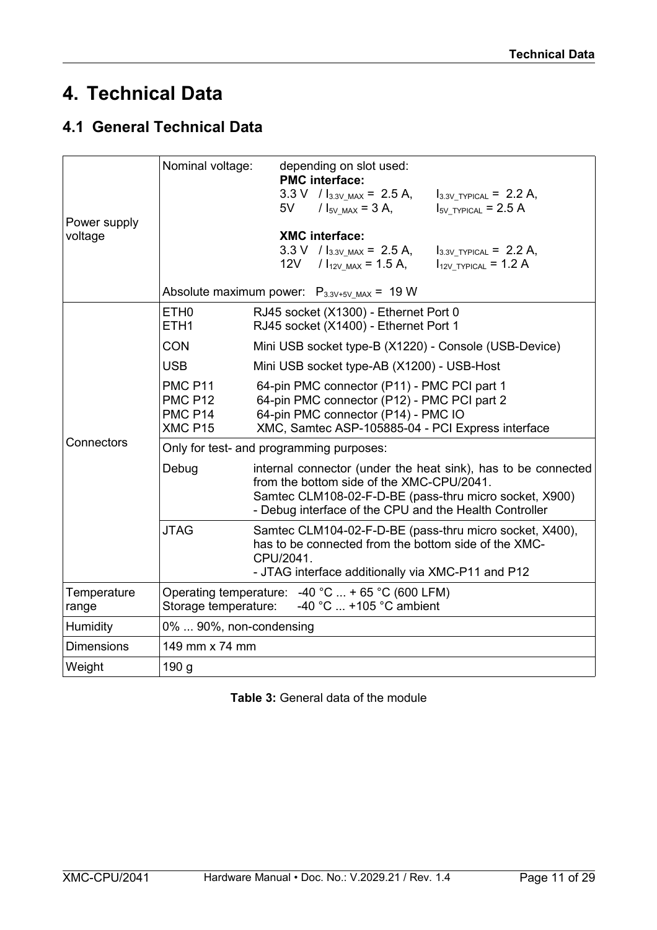# <span id="page-10-1"></span>**4. Technical Data**

### <span id="page-10-0"></span>**4.1 General Technical Data**

|                         | Nominal voltage:                                                                                                                                                                                 | depending on slot used:<br><b>PMC</b> interface:                                                                                                                                                                                    |
|-------------------------|--------------------------------------------------------------------------------------------------------------------------------------------------------------------------------------------------|-------------------------------------------------------------------------------------------------------------------------------------------------------------------------------------------------------------------------------------|
|                         |                                                                                                                                                                                                  | $3.3 \text{ V}$ / $I_{3.3 \text{V} \text{.} \text{MAX}}$ = 2.5 A,<br>$I_{3.3V}$ TYPICAL = 2.2 A,<br>$I_{5V}$ typical = 2.5 A<br>5V<br>$1_{5V \text{ MAX}} = 3 \text{ A}$ ,                                                          |
| Power supply<br>voltage |                                                                                                                                                                                                  | <b>XMC</b> interface:<br>$3.3 \text{ V}$ / $I_{3.3V \text{ MAX}}$ = 2.5 A,<br>$I_{3.3V}$ TYPICAL = 2.2 A,<br>12V<br>$1_{12V \text{ MAX}}$ = 1.5 A,<br>$I_{12V_TYPICAL} = 1.2 A$<br>Absolute maximum power: $P_{3.3V+5V_MAX}$ = 19 W |
|                         | ETH <sub>0</sub><br>RJ45 socket (X1300) - Ethernet Port 0<br>ETH <sub>1</sub><br>RJ45 socket (X1400) - Ethernet Port 1                                                                           |                                                                                                                                                                                                                                     |
|                         | <b>CON</b>                                                                                                                                                                                       | Mini USB socket type-B (X1220) - Console (USB-Device)                                                                                                                                                                               |
|                         | <b>USB</b>                                                                                                                                                                                       | Mini USB socket type-AB (X1200) - USB-Host                                                                                                                                                                                          |
|                         | <b>PMC P11</b><br><b>PMC P12</b><br>PMC P14<br>XMC P15                                                                                                                                           | 64-pin PMC connector (P11) - PMC PCI part 1<br>64-pin PMC connector (P12) - PMC PCI part 2<br>64-pin PMC connector (P14) - PMC IO<br>XMC, Samtec ASP-105885-04 - PCI Express interface                                              |
| Connectors              |                                                                                                                                                                                                  | Only for test- and programming purposes:                                                                                                                                                                                            |
|                         | Debug                                                                                                                                                                                            | internal connector (under the heat sink), has to be connected<br>from the bottom side of the XMC-CPU/2041.<br>Samtec CLM108-02-F-D-BE (pass-thru micro socket, X900)<br>- Debug interface of the CPU and the Health Controller      |
|                         | <b>JTAG</b><br>Samtec CLM104-02-F-D-BE (pass-thru micro socket, X400),<br>has to be connected from the bottom side of the XMC-<br>CPU/2041.<br>- JTAG interface additionally via XMC-P11 and P12 |                                                                                                                                                                                                                                     |
| Temperature<br>range    | Operating temperature: $-40$ °C  + 65 °C (600 LFM)<br>-40 °C  +105 °C ambient<br>Storage temperature:                                                                                            |                                                                                                                                                                                                                                     |
| Humidity                | 0%  90%, non-condensing                                                                                                                                                                          |                                                                                                                                                                                                                                     |
| <b>Dimensions</b>       | 149 mm x 74 mm                                                                                                                                                                                   |                                                                                                                                                                                                                                     |
| Weight                  | 190 <sub>g</sub>                                                                                                                                                                                 |                                                                                                                                                                                                                                     |

**Table 3:** General data of the module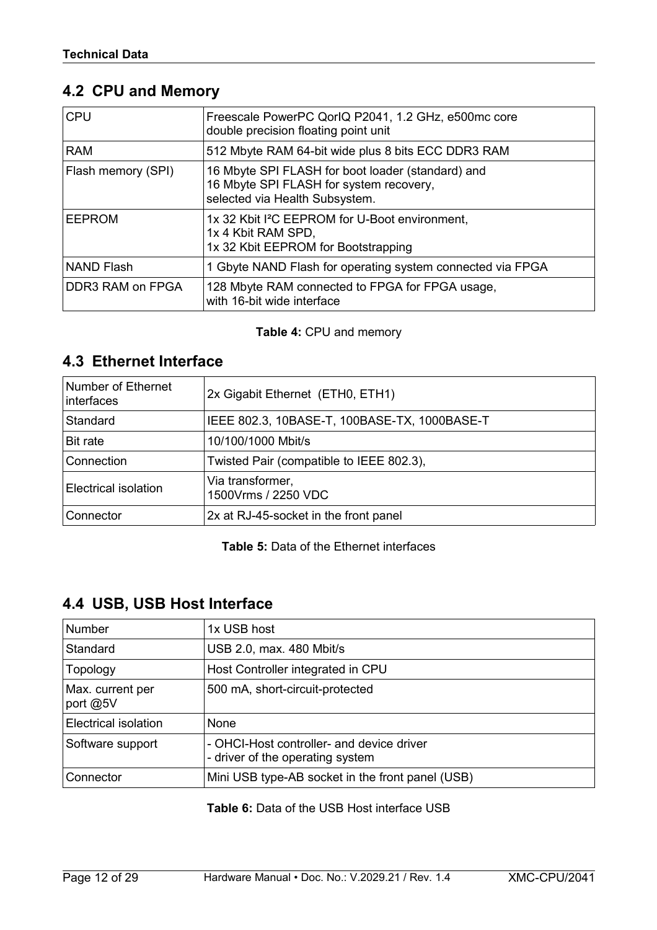### <span id="page-11-2"></span>**4.2 CPU and Memory**

| <b>CPU</b>         | Freescale PowerPC QorIQ P2041, 1.2 GHz, e500mc core<br>double precision floating point unit                                    |
|--------------------|--------------------------------------------------------------------------------------------------------------------------------|
| <b>RAM</b>         | 512 Mbyte RAM 64-bit wide plus 8 bits ECC DDR3 RAM                                                                             |
| Flash memory (SPI) | 16 Mbyte SPI FLASH for boot loader (standard) and<br>16 Mbyte SPI FLASH for system recovery,<br>selected via Health Subsystem. |
| <b>EEPROM</b>      | 1x 32 Kbit I <sup>2</sup> C EEPROM for U-Boot environment,<br>1x 4 Kbit RAM SPD,<br>1x 32 Kbit EEPROM for Bootstrapping        |
| <b>NAND Flash</b>  | 1 Gbyte NAND Flash for operating system connected via FPGA                                                                     |
| DDR3 RAM on FPGA   | 128 Mbyte RAM connected to FPGA for FPGA usage,<br>with 16-bit wide interface                                                  |

#### **Table 4:** CPU and memory

### <span id="page-11-1"></span>**4.3 Ethernet Interface**

| Number of Ethernet<br>interfaces | 2x Gigabit Ethernet (ETH0, ETH1)             |
|----------------------------------|----------------------------------------------|
| Standard                         | IEEE 802.3, 10BASE-T, 100BASE-TX, 1000BASE-T |
| Bit rate                         | 10/100/1000 Mbit/s                           |
| Connection                       | Twisted Pair (compatible to IEEE 802.3),     |
| Electrical isolation             | Via transformer,<br>1500Vrms / 2250 VDC      |
| Connector                        | 2x at RJ-45-socket in the front panel        |

**Table 5:** Data of the Ethernet interfaces

### <span id="page-11-0"></span>**4.4 USB, USB Host Interface**

| <b>Number</b>                | 1x USB host                                                                   |
|------------------------------|-------------------------------------------------------------------------------|
| Standard                     | USB 2.0, max. 480 Mbit/s                                                      |
| Topology                     | Host Controller integrated in CPU                                             |
| Max. current per<br>port @5V | 500 mA, short-circuit-protected                                               |
| Electrical isolation         | <b>None</b>                                                                   |
| Software support             | - OHCI-Host controller- and device driver<br>- driver of the operating system |
| Connector                    | Mini USB type-AB socket in the front panel (USB)                              |

**Table 6:** Data of the USB Host interface USB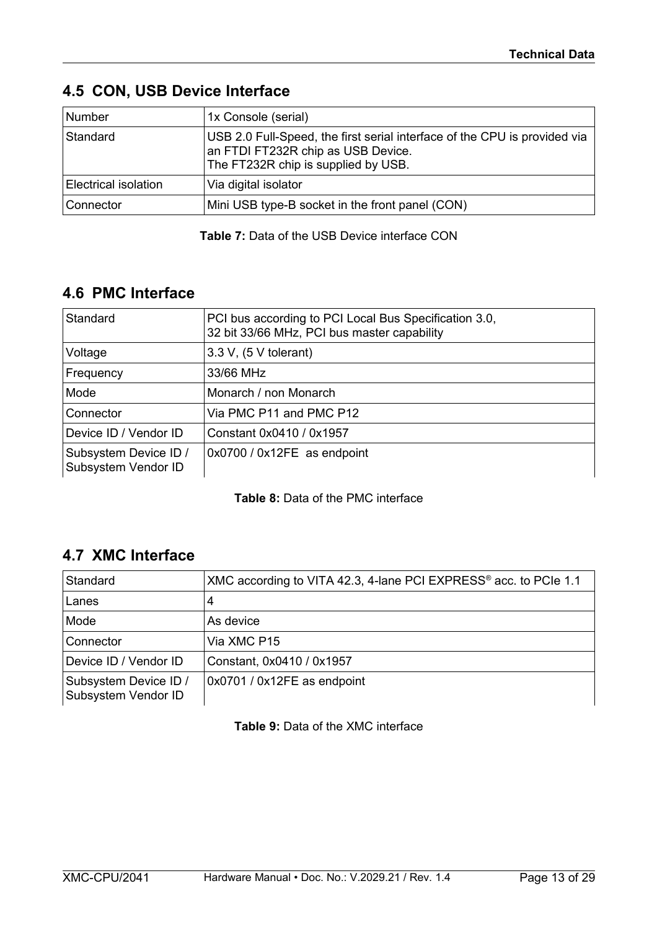| Number                      | 1x Console (serial)                                                                                                                                    |
|-----------------------------|--------------------------------------------------------------------------------------------------------------------------------------------------------|
| Standard                    | USB 2.0 Full-Speed, the first serial interface of the CPU is provided via<br>an FTDI FT232R chip as USB Device.<br>The FT232R chip is supplied by USB. |
| <b>Electrical isolation</b> | Via digital isolator                                                                                                                                   |
| Connector                   | Mini USB type-B socket in the front panel (CON)                                                                                                        |

#### <span id="page-12-2"></span>**4.5 CON, USB Device Interface**

**Table 7:** Data of the USB Device interface CON

### <span id="page-12-1"></span>**4.6 PMC Interface**

| Standard                                     | PCI bus according to PCI Local Bus Specification 3.0,<br>32 bit 33/66 MHz, PCI bus master capability |
|----------------------------------------------|------------------------------------------------------------------------------------------------------|
| Voltage                                      | $3.3 V$ , $(5 V$ tolerant)                                                                           |
| Frequency                                    | 33/66 MHz                                                                                            |
| Mode                                         | Monarch / non Monarch                                                                                |
| Connector                                    | Via PMC P11 and PMC P12                                                                              |
| Device ID / Vendor ID                        | Constant 0x0410 / 0x1957                                                                             |
| Subsystem Device ID /<br>Subsystem Vendor ID | 0x0700 / 0x12FE as endpoint                                                                          |

#### **Table 8:** Data of the PMC interface

### <span id="page-12-0"></span>**4.7 XMC Interface**

| Standard                                     | XMC according to VITA 42.3, 4-lane PCI EXPRESS <sup>®</sup> acc. to PCIe 1.1 |
|----------------------------------------------|------------------------------------------------------------------------------|
| Lanes                                        | 4                                                                            |
| Mode                                         | As device                                                                    |
| Connector                                    | Via XMC P15                                                                  |
| Device ID / Vendor ID                        | Constant, 0x0410 / 0x1957                                                    |
| Subsystem Device ID /<br>Subsystem Vendor ID | 0x0701 / 0x12FE as endpoint                                                  |

**Table 9:** Data of the XMC interface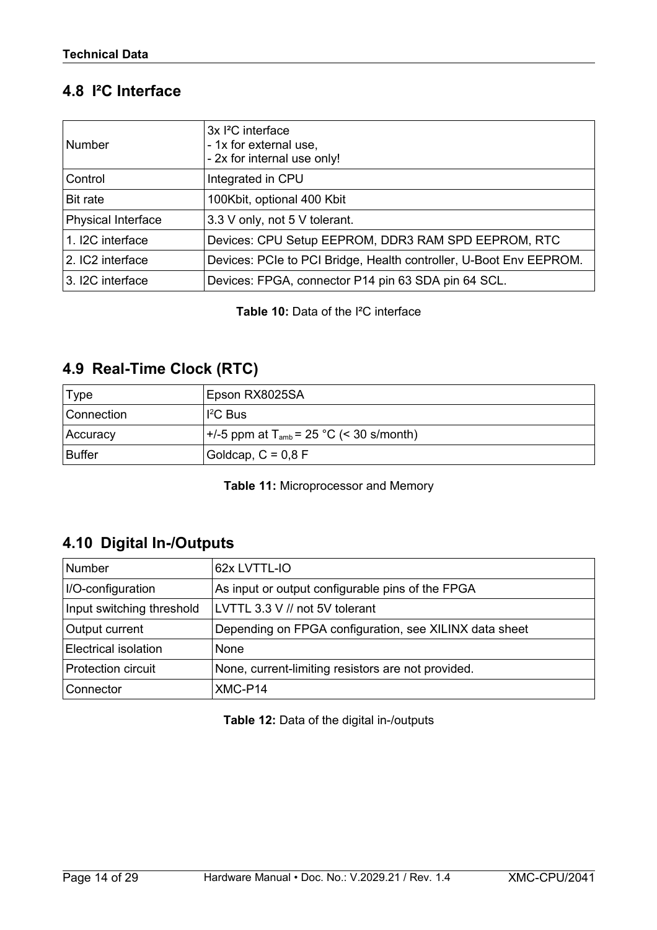### <span id="page-13-2"></span>**4.8 I²C Interface**

| <b>Number</b>             | 3x <sup>2</sup> C interface<br>- 1x for external use,<br>- 2x for internal use only! |
|---------------------------|--------------------------------------------------------------------------------------|
| Control                   | Integrated in CPU                                                                    |
| Bit rate                  | 100Kbit, optional 400 Kbit                                                           |
| <b>Physical Interface</b> | 3.3 V only, not 5 V tolerant.                                                        |
| 1. I2C interface          | Devices: CPU Setup EEPROM, DDR3 RAM SPD EEPROM, RTC                                  |
| 2. IC2 interface          | Devices: PCIe to PCI Bridge, Health controller, U-Boot Env EEPROM.                   |
| 3. I2C interface          | Devices: FPGA, connector P14 pin 63 SDA pin 64 SCL.                                  |

**Table 10:** Data of the I²C interface

### <span id="page-13-1"></span>**4.9 Real-Time Clock (RTC)**

| Type       | Epson RX8025SA                                        |
|------------|-------------------------------------------------------|
| Connection | $I^2C$ Bus                                            |
| Accuracy   | $+/-5$ ppm at T <sub>amb</sub> = 25 °C (< 30 s/month) |
| ∣Buffer    | Goldcap, $C = 0.8$ F                                  |

**Table 11:** Microprocessor and Memory

### <span id="page-13-0"></span>**4.10 Digital In-/Outputs**

| <b>Number</b>               | 62x LVTTL-IO                                           |
|-----------------------------|--------------------------------------------------------|
| I/O-configuration           | As input or output configurable pins of the FPGA       |
| Input switching threshold   | LVTTL 3.3 V // not 5V tolerant                         |
| Output current              | Depending on FPGA configuration, see XILINX data sheet |
| <b>Electrical isolation</b> | None                                                   |
| <b>Protection circuit</b>   | None, current-limiting resistors are not provided.     |
| Connector                   | XMC-P14                                                |

**Table 12:** Data of the digital in-/outputs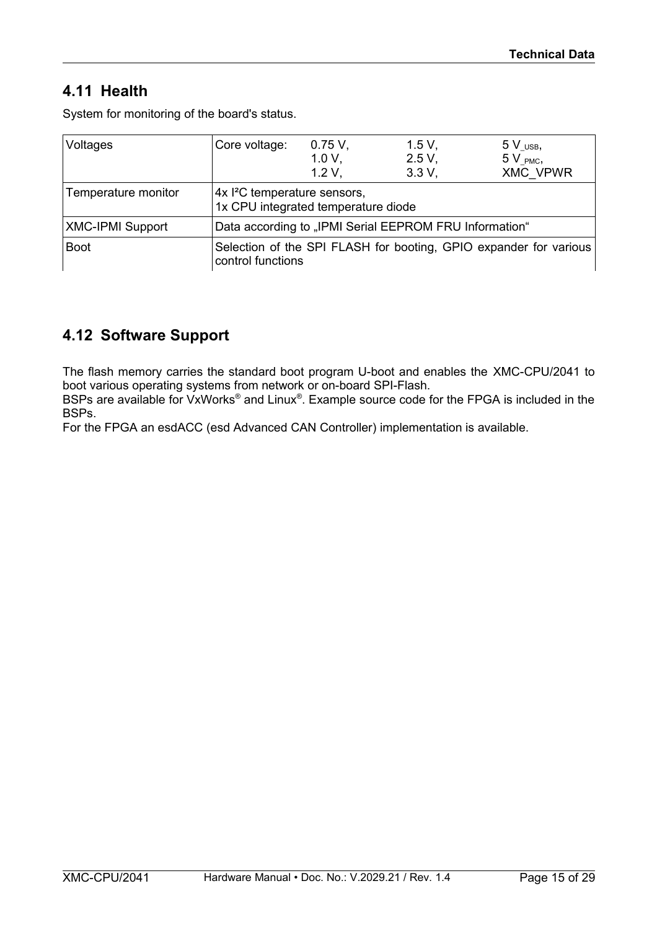### <span id="page-14-1"></span>**4.11 Health**

System for monitoring of the board's status.

| Voltages                | Core voltage:                                                                          | 0.75V,<br>$1.0 V$ .<br>1.2 V. | 1.5 V,<br>2.5 V,<br>3.3 V, | $5V$ USB,<br>$5V$ <sub>PMC</sub> ,<br><b>XMC VPWR</b> |
|-------------------------|----------------------------------------------------------------------------------------|-------------------------------|----------------------------|-------------------------------------------------------|
| Temperature monitor     | 4x <sup>2</sup> C temperature sensors,<br>1x CPU integrated temperature diode          |                               |                            |                                                       |
| <b>XMC-IPMI Support</b> | Data according to "IPMI Serial EEPROM FRU Information"                                 |                               |                            |                                                       |
| <b>Boot</b>             | Selection of the SPI FLASH for booting, GPIO expander for various<br>control functions |                               |                            |                                                       |

### <span id="page-14-0"></span>**4.12 Software Support**

The flash memory carries the standard boot program U-boot and enables the XMC-CPU/2041 to boot various operating systems from network or on-board SPI-Flash.

BSPs are available for VxWorks® and Linux®. Example source code for the FPGA is included in the BSPs.

For the FPGA an esdACC (esd Advanced CAN Controller) implementation is available.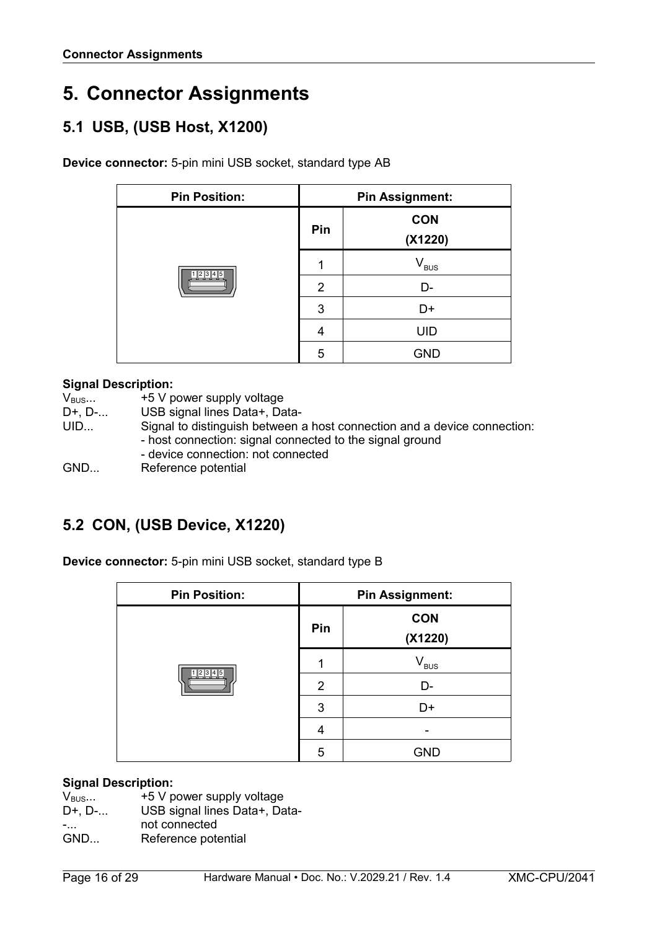# <span id="page-15-2"></span>**5. Connector Assignments**

### <span id="page-15-1"></span>**5.1 USB, (USB Host, X1200)**

**Device connector:** 5-pin mini USB socket, standard type AB

| <b>Pin Position:</b> | <b>Pin Assignment:</b> |                             |  |
|----------------------|------------------------|-----------------------------|--|
|                      | Pin                    | <b>CON</b><br>(X1220)       |  |
|                      |                        | $\mathsf{V}_{\mathsf{BUS}}$ |  |
| 1 2 3 4 5            | 2                      | D-                          |  |
|                      | 3                      | D+                          |  |
|                      | 4                      | <b>UID</b>                  |  |
|                      | 5                      | <b>GND</b>                  |  |

#### **Signal Description:**

| $V_{\text{BUS}}$  | +5 V power supply voltage                                                                                                                                                  |
|-------------------|----------------------------------------------------------------------------------------------------------------------------------------------------------------------------|
| $D^{+}$ , $D^{-}$ | USB signal lines Data+, Data-                                                                                                                                              |
| UID               | Signal to distinguish between a host connection and a device connection:<br>- host connection: signal connected to the signal ground<br>- device connection: not connected |
| GND               | Reference potential                                                                                                                                                        |

### <span id="page-15-0"></span>**5.2 CON, (USB Device, X1220)**

**Device connector:** 5-pin mini USB socket, standard type B

| <b>Pin Position:</b> | <b>Pin Assignment:</b> |                             |
|----------------------|------------------------|-----------------------------|
|                      | Pin                    | <b>CON</b><br>(X1220)       |
|                      |                        | $\mathsf{V}_{\mathsf{BUS}}$ |
| 12345                | 2                      | D-                          |
|                      | 3                      | D+                          |
|                      | 4                      |                             |
|                      | 5                      | <b>GND</b>                  |

#### **Signal Description:**

| __               |                           |
|------------------|---------------------------|
| $V_{\text{BUS}}$ | +5 V power supply voltage |

- D+, D-... USB signal lines Data+, Data-
- -... not connected
- GND... Reference potential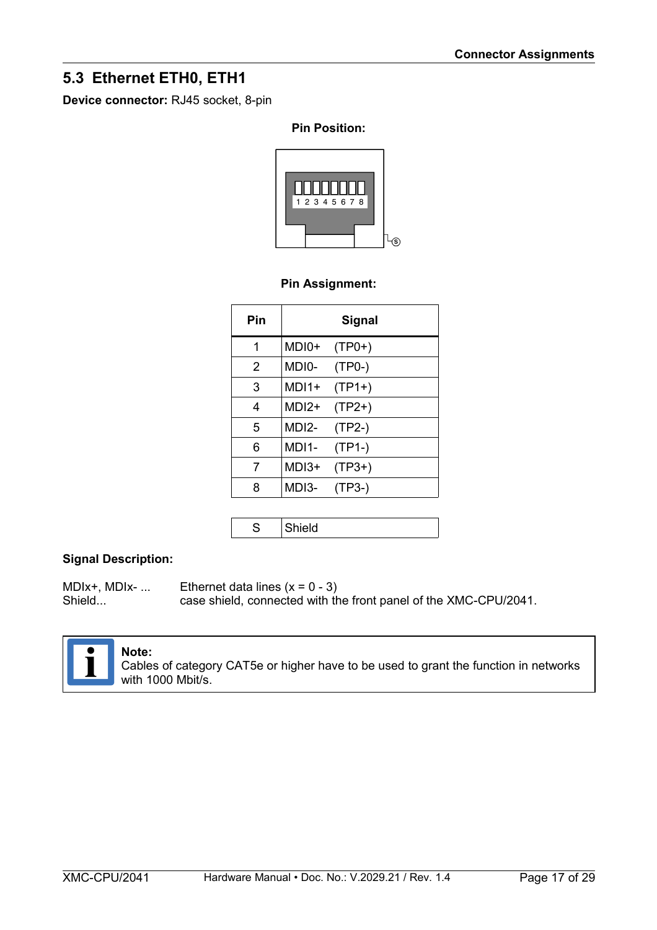### <span id="page-16-0"></span>**5.3 Ethernet ETH0, ETH1**

**Device connector:** RJ45 socket, 8-pin

#### **Pin Position:**



#### **Pin Assignment:**

| Pin |         | <b>Signal</b> |
|-----|---------|---------------|
| 1   | MDI0+   | $(TP0+)$      |
| 2   | MDI0-   | (TP0-)        |
| 3   | MDI1+   | $(TP1+)$      |
| 4   | $MDI2+$ | $(TP2+)$      |
| 5   | MDI2-   | $(TP2-)$      |
| 6   | MDI1-   | (TP1-)        |
| 7   | MDI3+   | $(TP3+)$      |
| 8   | MDI3-   | (TP3-)        |

S Shield

#### **Signal Description:**

MDIx+, MDIx- ... Ethernet data lines  $(x = 0 - 3)$ <br>Shield... case shield. connected with the case shield, connected with the front panel of the XMC-CPU/2041.



#### **Note:**

Cables of category CAT5e or higher have to be used to grant the function in networks with 1000 Mbit/s.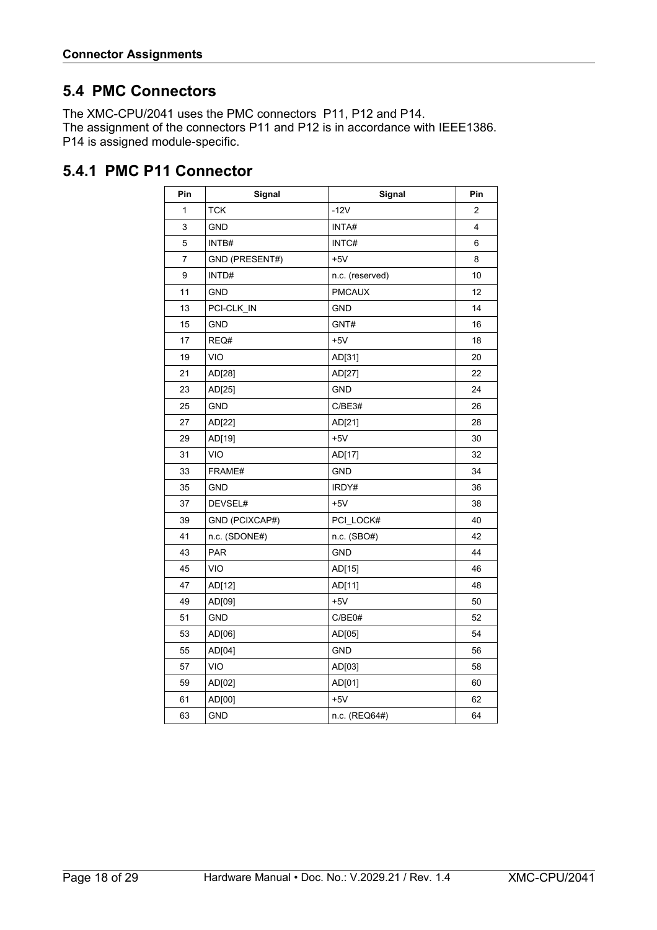### <span id="page-17-1"></span>**5.4 PMC Connectors**

The XMC-CPU/2041 uses the PMC connectors P11, P12 and P14. The assignment of the connectors P11 and P12 is in accordance with IEEE1386. P14 is assigned module-specific.

### <span id="page-17-0"></span>**5.4.1 PMC P11 Connector**

| Pin | Signal         | Signal          | Pin            |
|-----|----------------|-----------------|----------------|
| 1   | <b>TCK</b>     | $-12V$          | $\overline{c}$ |
| 3   | <b>GND</b>     | INTA#           | 4              |
| 5   | INTB#          | INTC#           | 6              |
| 7   | GND (PRESENT#) | $+5V$           | 8              |
| 9   | INTD#          | n.c. (reserved) | 10             |
| 11  | <b>GND</b>     | <b>PMCAUX</b>   | 12             |
| 13  | PCI-CLK_IN     | <b>GND</b>      | 14             |
| 15  | <b>GND</b>     | GNT#            | 16             |
| 17  | REQ#           | $+5V$           | 18             |
| 19  | <b>VIO</b>     | AD[31]          | 20             |
| 21  | AD[28]         | AD[27]          | 22             |
| 23  | AD[25]         | <b>GND</b>      | 24             |
| 25  | <b>GND</b>     | C/BE3#          | 26             |
| 27  | AD[22]         | AD[21]          | 28             |
| 29  | AD[19]         | $+5V$           | 30             |
| 31  | VIO            | AD[17]          | 32             |
| 33  | FRAME#         | <b>GND</b>      | 34             |
| 35  | <b>GND</b>     | IRDY#           | 36             |
| 37  | DEVSEL#        | $+5V$           | 38             |
| 39  | GND (PCIXCAP#) | PCI_LOCK#       | 40             |
| 41  | n.c. (SDONE#)  | n.c. (SBO#)     | 42             |
| 43  | PAR            | <b>GND</b>      | 44             |
| 45  | <b>VIO</b>     | AD[15]          | 46             |
| 47  | AD[12]         | AD[11]          | 48             |
| 49  | AD[09]         | $+5V$           | 50             |
| 51  | <b>GND</b>     | C/BE0#          | 52             |
| 53  | AD[06]         | AD[05]          | 54             |
| 55  | AD[04]         | <b>GND</b>      | 56             |
| 57  | <b>VIO</b>     | AD[03]          | 58             |
| 59  | AD[02]         | AD[01]          | 60             |
| 61  | AD[00]         | $+5V$           | 62             |
| 63  | <b>GND</b>     | n.c. (REQ64#)   | 64             |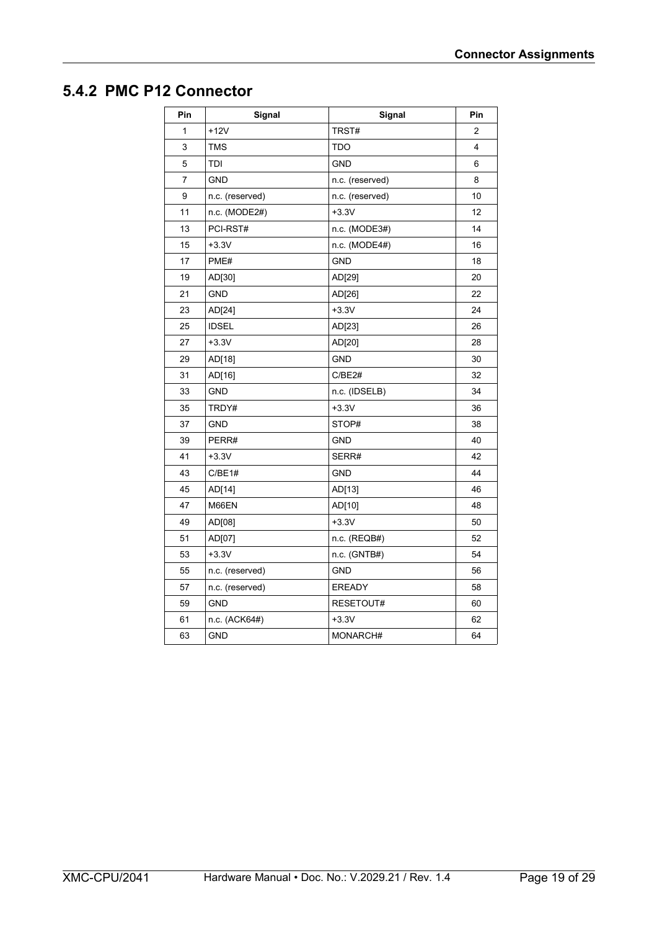#### <span id="page-18-0"></span>**5.4.2 PMC P12 Connector**

| Pin            | Signal          | Signal          | Pin            |
|----------------|-----------------|-----------------|----------------|
| $\mathbf{1}$   | $+12V$          | TRST#           | $\overline{2}$ |
| 3              | <b>TMS</b>      | <b>TDO</b>      | 4              |
| 5              | TDI             | <b>GND</b>      | 6              |
| $\overline{7}$ | <b>GND</b>      | n.c. (reserved) | 8              |
| 9              | n.c. (reserved) | n.c. (reserved) | 10             |
| 11             | n.c. (MODE2#)   | $+3.3V$         | 12             |
| 13             | PCI-RST#        | n.c. (MODE3#)   | 14             |
| 15             | $+3.3V$         | n.c. (MODE4#)   | 16             |
| 17             | PME#            | <b>GND</b>      | 18             |
| 19             | AD[30]          | AD[29]          | 20             |
| 21             | <b>GND</b>      | AD[26]          | 22             |
| 23             | AD[24]          | $+3.3V$         | 24             |
| 25             | <b>IDSEL</b>    | AD[23]          | 26             |
| 27             | $+3.3V$         | AD[20]          | 28             |
| 29             | AD[18]          | <b>GND</b>      | 30             |
| 31             | AD[16]          | C/BE2#          | 32             |
| 33             | <b>GND</b>      | n.c. (IDSELB)   | 34             |
| 35             | TRDY#           | $+3.3V$         | 36             |
| 37             | <b>GND</b>      | STOP#           | 38             |
| 39             | PERR#           | <b>GND</b>      | 40             |
| 41             | $+3.3V$         | SERR#           | 42             |
| 43             | C/BE1#          | <b>GND</b>      | 44             |
| 45             | AD[14]          | AD[13]          | 46             |
| 47             | M66EN           | AD[10]          | 48             |
| 49             | AD[08]          | $+3.3V$         | 50             |
| 51             | AD[07]          | n.c. (REQB#)    | 52             |
| 53             | $+3.3V$         | n.c. (GNTB#)    | 54             |
| 55             | n.c. (reserved) | <b>GND</b>      | 56             |
| 57             | n.c. (reserved) | <b>EREADY</b>   | 58             |
| 59             | <b>GND</b>      | RESETOUT#       | 60             |
| 61             | n.c. (ACK64#)   | $+3.3V$         | 62             |
| 63             | <b>GND</b>      | MONARCH#        | 64             |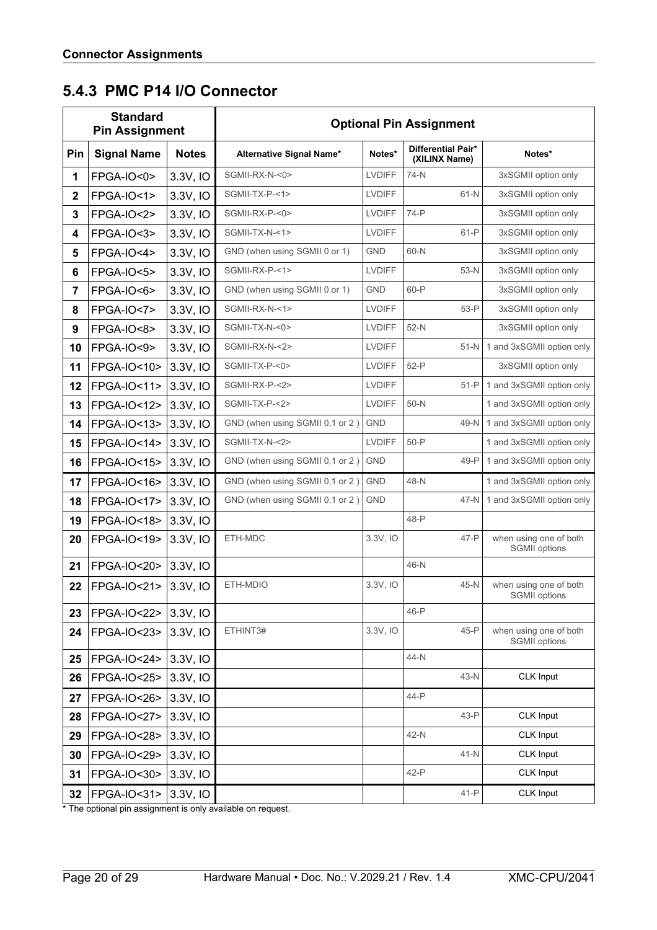### <span id="page-19-0"></span>**5.4.3 PMC P14 I/O Connector**

| <b>Standard</b><br><b>Pin Assignment</b> |                         |              | <b>Optional Pin Assignment</b>  |               |                                     |                                                |  |
|------------------------------------------|-------------------------|--------------|---------------------------------|---------------|-------------------------------------|------------------------------------------------|--|
| <b>Pin</b>                               | <b>Signal Name</b>      | <b>Notes</b> | Alternative Signal Name*        | Notes*        | Differential Pair*<br>(XILINX Name) | Notes*                                         |  |
| 1                                        | FPGA-IO<0>              | 3.3V, IO     | SGMII-RX-N-<0>                  | <b>LVDIFF</b> | 74-N                                | 3xSGMII option only                            |  |
| $\mathbf 2$                              | <b>FPGA-IO&lt;1&gt;</b> | 3.3V, IO     | SGMII-TX-P-<1>                  | <b>LVDIFF</b> | $61-N$                              | 3xSGMII option only                            |  |
| 3                                        | <b>FPGA-IO&lt;2&gt;</b> | 3.3V, IO     | SGMII-RX-P-<0>                  | <b>LVDIFF</b> | $74-P$                              | 3xSGMII option only                            |  |
| 4                                        | FPGA-IO<3>              | 3.3V, IO     | SGMII-TX-N-<1>                  | <b>LVDIFF</b> | $61-P$                              | 3xSGMII option only                            |  |
| 5                                        | <b>FPGA-IO&lt;4&gt;</b> | 3.3V, IO     | GND (when using SGMII 0 or 1)   | <b>GND</b>    | 60-N                                | 3xSGMII option only                            |  |
| 6                                        | <b>FPGA-IO&lt;5&gt;</b> | 3.3V, IO     | SGMII-RX-P-<1>                  | <b>LVDIFF</b> | $53-N$                              | 3xSGMII option only                            |  |
| $\overline{7}$                           | FPGA-IO<6>              | 3.3V, IO     | GND (when using SGMII 0 or 1)   | <b>GND</b>    | 60-P                                | 3xSGMII option only                            |  |
| 8                                        | <b>FPGA-IO&lt;7&gt;</b> | 3.3V, IO     | SGMII-RX-N-<1>                  | <b>LVDIFF</b> | $53-P$                              | 3xSGMII option only                            |  |
| 9                                        | <b>FPGA-IO&lt;8&gt;</b> | 3.3V, IO     | SGMII-TX-N-<0>                  | <b>LVDIFF</b> | $52-N$                              | 3xSGMII option only                            |  |
| 10                                       | <b>FPGA-IO&lt;9&gt;</b> | 3.3V, IO     | SGMII-RX-N-<2>                  | <b>LVDIFF</b> | $51-N$                              | 1 and 3xSGMII option only                      |  |
| 11                                       | FPGA-IO<10>             | 3.3V, IO     | SGMII-TX-P-<0>                  | <b>LVDIFF</b> | $52-P$                              | 3xSGMII option only                            |  |
| 12                                       | FPGA-IO<11>             | 3.3V, IO     | SGMII-RX-P-<2>                  | <b>LVDIFF</b> | $51-P$                              | 1 and 3xSGMII option only                      |  |
| 13                                       | FPGA-IO<12>             | 3.3V, IO     | SGMII-TX-P-<2>                  | <b>LVDIFF</b> | $50-N$                              | 1 and 3xSGMII option only                      |  |
| 14                                       | FPGA-IO<13>             | 3.3V, IO     | GND (when using SGMII 0,1 or 2) | <b>GND</b>    | 49-N                                | 1 and 3xSGMII option only                      |  |
| 15                                       | FPGA-IO<14>             | 3.3V, IO     | SGMII-TX-N-<2>                  | <b>LVDIFF</b> | $50-P$                              | 1 and 3xSGMII option only                      |  |
| 16                                       | FPGA-IO<15>             | 3.3V, IO     | GND (when using SGMII 0,1 or 2) | <b>GND</b>    | 49-P                                | 1 and 3xSGMII option only                      |  |
| 17                                       | FPGA-IO<16>             | 3.3V, IO     | GND (when using SGMII 0,1 or 2) | <b>GND</b>    | 48-N                                | 1 and 3xSGMII option only                      |  |
| 18                                       | FPGA-IO<17>             | 3.3V, IO     | GND (when using SGMII 0,1 or 2) | <b>GND</b>    | 47-N                                | 1 and 3xSGMII option only                      |  |
| 19                                       | FPGA-IO<18>             | 3.3V, IO     |                                 |               | 48-P                                |                                                |  |
| 20                                       | FPGA-IO<19>             | 3.3V, IO     | ETH-MDC                         | 3.3V, IO      | 47-P                                | when using one of both<br>SGMII options        |  |
| 21                                       | FPGA-IO<20>             | 3.3V, IO     |                                 |               | 46-N                                |                                                |  |
| 22                                       | FPGA-IO<21>             | 3.3V, IO     | ETH-MDIO                        | 3.3V, IO      | 45-N                                | when using one of both<br><b>SGMII</b> options |  |
| 23                                       | FPGA-IO<22>             | 3.3V, IO     |                                 |               | 46-P                                |                                                |  |
| 24                                       | FPGA-IO<23>             | 3.3V, IO     | ETHINT3#                        | 3.3V, IO      | $45-P$                              | when using one of both<br><b>SGMII</b> options |  |
| 25                                       | FPGA-IO<24>             | 3.3V, IO     |                                 |               | 44-N                                |                                                |  |
| 26                                       | FPGA-IO<25>             | 3.3V, IO     |                                 |               | 43-N                                | CLK Input                                      |  |
| 27                                       | FPGA-IO<26>             | 3.3V, IO     |                                 |               | 44-P                                |                                                |  |
| 28                                       | FPGA-IO<27>             | 3.3V, IO     |                                 |               | 43-P                                | CLK Input                                      |  |
| 29                                       | FPGA-IO<28>             | 3.3V, IO     |                                 |               | 42-N                                | CLK Input                                      |  |
| 30                                       | FPGA-IO<29>             | 3.3V, IO     |                                 |               | $41-N$                              | CLK Input                                      |  |
| 31                                       | FPGA-IO<30>             | 3.3V, IO     |                                 |               | 42-P                                | CLK Input                                      |  |
| 32                                       | FPGA-IO<31>             | 3.3V, IO     |                                 |               | $41-P$                              | CLK Input                                      |  |

\* The optional pin assignment is only available on request.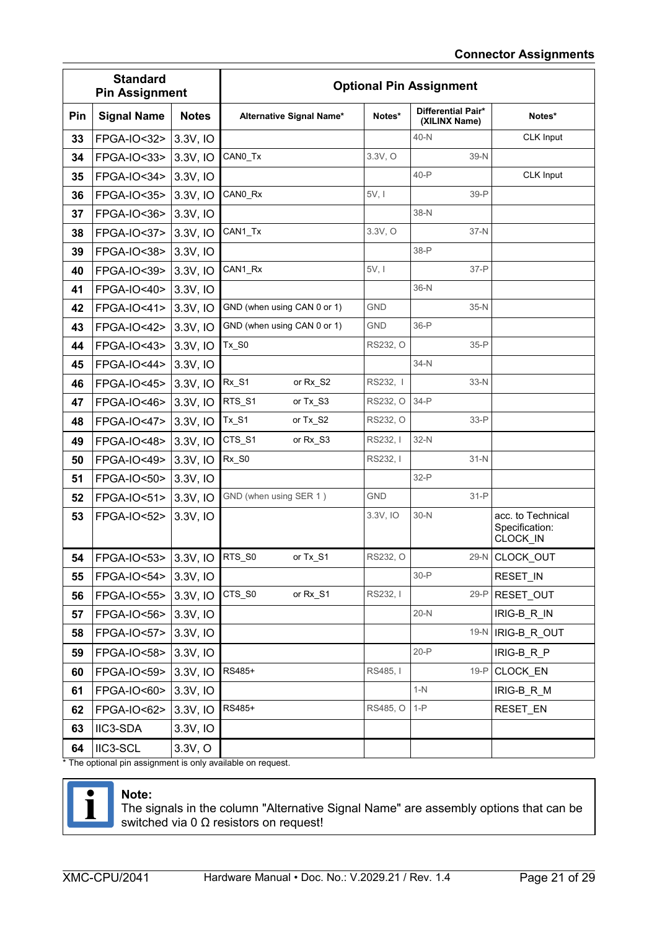| <b>Standard</b><br><b>Pin Assignment</b> |                          |              | <b>Optional Pin Assignment</b> |            |                                     |                                                 |  |
|------------------------------------------|--------------------------|--------------|--------------------------------|------------|-------------------------------------|-------------------------------------------------|--|
| Pin                                      | <b>Signal Name</b>       | <b>Notes</b> | Alternative Signal Name*       | Notes*     | Differential Pair*<br>(XILINX Name) | Notes*                                          |  |
| 33                                       | FPGA-IO<32>              | 3.3V, IO     |                                |            | $40-N$                              | CLK Input                                       |  |
| 34                                       | FPGA-IO<33>              | 3.3V, IO     | CANO_Tx                        | 3.3V, O    | 39-N                                |                                                 |  |
| 35                                       | FPGA-IO<34>              | 3.3V, IO     |                                |            | $40-P$                              | CLK Input                                       |  |
| 36                                       | FPGA-IO<35>              | 3.3V, IO     | CANO_Rx                        | 5V, I      | $39-P$                              |                                                 |  |
| 37                                       | FPGA-IO<36>              | 3.3V, IO     |                                |            | 38-N                                |                                                 |  |
| 38                                       | FPGA-IO<37>              | 3.3V, IO     | CAN1_Tx                        | 3.3V, O    | 37-N                                |                                                 |  |
| 39                                       | FPGA-IO<38>              | 3.3V, IO     |                                |            | 38-P                                |                                                 |  |
| 40                                       | FPGA-IO<39>              | 3.3V, IO     | CAN1_Rx                        | 5V, I      | $37-P$                              |                                                 |  |
| 41                                       | FPGA-IO<40>              | 3.3V, IO     |                                |            | $36-N$                              |                                                 |  |
| 42                                       | FPGA-IO<41>              | 3.3V, IO     | GND (when using CAN 0 or 1)    | <b>GND</b> | 35-N                                |                                                 |  |
| 43                                       | <b>FPGA-IO&lt;42&gt;</b> | 3.3V, IO     | GND (when using CAN 0 or 1)    | <b>GND</b> | $36-P$                              |                                                 |  |
| 44                                       | FPGA-IO<43>              | 3.3V, IO     | $Tx_$ S0                       | RS232, O   | $35-P$                              |                                                 |  |
| 45                                       | FPGA-IO<44>              | 3.3V, IO     |                                |            | $34-N$                              |                                                 |  |
| 46                                       | FPGA-IO<45>              | 3.3V, IO     | Rx_S1<br>or Rx_S2              | RS232, I   | $33-N$                              |                                                 |  |
| 47                                       | FPGA-IO<46>              | 3.3V, IO     | RTS_S1<br>or Tx_S3             | RS232, O   | $34-P$                              |                                                 |  |
| 48                                       | FPGA-IO<47>              | 3.3V, IO     | $Tx_$ S1<br>or Tx_S2           | RS232, O   | $33-P$                              |                                                 |  |
| 49                                       | FPGA-IO<48>              | 3.3V, IO     | CTS_S1<br>or Rx_S3             | RS232, I   | $32-N$                              |                                                 |  |
| 50                                       | FPGA-IO<49>              | 3.3V, IO     | Rx_S0                          | RS232, I   | $31-N$                              |                                                 |  |
| 51                                       | FPGA-IO<50>              | 3.3V, IO     |                                |            | $32-P$                              |                                                 |  |
| 52                                       | FPGA-IO<51>              | 3.3V, IO     | GND (when using SER 1)         | <b>GND</b> | $31-P$                              |                                                 |  |
| 53                                       | FPGA-IO<52>              | 3.3V, IO     |                                | 3.3V, IO   | $30-N$                              | acc. to Technical<br>Specification:<br>CLOCK_IN |  |
| 54                                       | FPGA-IO<53>              | $3.3V,$ IO   | RTS_S0<br>or Tx_S1             | RS232, O   |                                     | 29-N CLOCK OUT                                  |  |
| 55                                       | FPGA-IO<54> 3.3V, IO     |              |                                |            | $30-P$                              | RESET IN                                        |  |
| 56                                       | <b>FPGA-IO&lt;55&gt;</b> | 3.3V, IO     | CTS_S0<br>or Rx_S1             | RS232, I   | $29-P$                              | RESET_OUT                                       |  |
| 57                                       | FPGA-IO<56>              | 3.3V, IO     |                                |            | $20-N$                              | IRIG-B R IN                                     |  |
| 58                                       | FPGA-IO<57>              | 3.3V, IO     |                                |            | $19-N$                              | IRIG-B_R_OUT                                    |  |
| 59                                       | FPGA-IO<58>              | 3.3V, IO     |                                |            | $20-P$                              | IRIG-B_R_P                                      |  |
| 60                                       | FPGA-IO<59>              | 3.3V, IO     | RS485+                         | RS485, I   | $19 - P$                            | CLOCK_EN                                        |  |
| 61                                       | FPGA-IO<60>              | 3.3V, IO     |                                |            | $1-N$                               | IRIG-B_R_M                                      |  |
| 62                                       | FPGA-IO<62>              | 3.3V, IO     | RS485+                         | RS485, O   | $1-P$                               | RESET EN                                        |  |
| 63                                       | IIC3-SDA                 | 3.3V, IO     |                                |            |                                     |                                                 |  |
| 64                                       | IIC3-SCL                 | 3.3V, O      |                                |            |                                     |                                                 |  |
|                                          |                          |              |                                |            |                                     |                                                 |  |

The optional pin assignment is only available on request.



#### **Note:**

The signals in the column "Alternative Signal Name" are assembly options that can be switched via 0  $Ω$  resistors on request!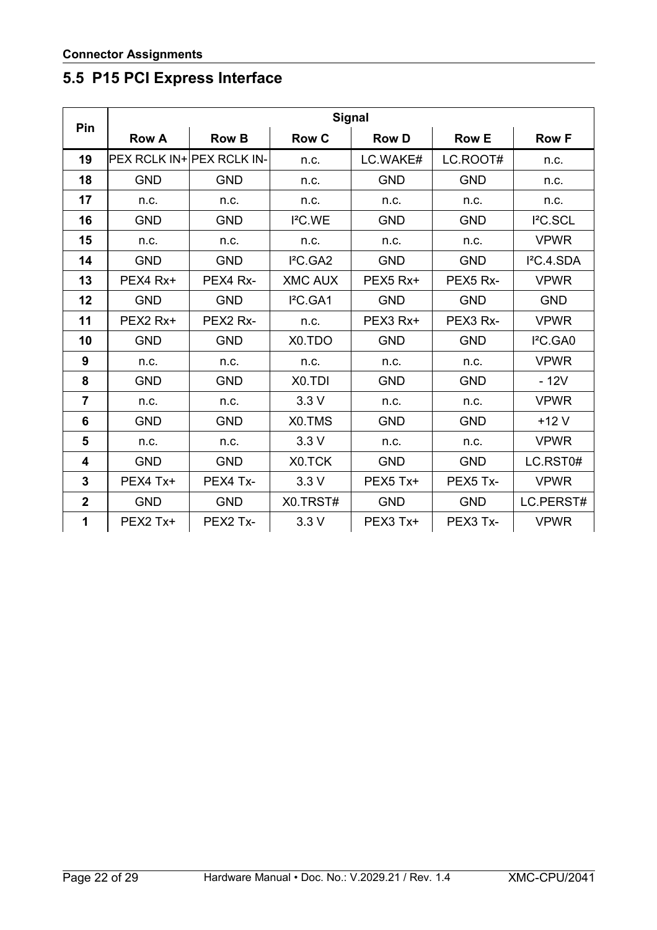### <span id="page-21-0"></span>**5.5 P15 PCI Express Interface**

| Pin            | <b>Signal</b>                    |              |                      |              |              |                        |  |  |
|----------------|----------------------------------|--------------|----------------------|--------------|--------------|------------------------|--|--|
|                | <b>Row A</b>                     | <b>Row B</b> | <b>Row C</b>         | <b>Row D</b> | <b>Row E</b> | <b>Row F</b>           |  |  |
| 19             | <b>PEX RCLK IN+ PEX RCLK IN-</b> |              | n.c.                 | LC.WAKE#     | LC.ROOT#     | n.c.                   |  |  |
| 18             | <b>GND</b>                       | <b>GND</b>   | n.c.                 | <b>GND</b>   | <b>GND</b>   | n.c.                   |  |  |
| 17             | n.c.                             | n.c.         | n.c.                 | n.c.         | n.c.         | n.c.                   |  |  |
| 16             | <b>GND</b>                       | <b>GND</b>   | I <sup>2</sup> C.WE  | <b>GND</b>   | <b>GND</b>   | I <sup>2</sup> C.SCL   |  |  |
| 15             | n.c.                             | n.c.         | n.c.                 | n.c.         | n.c.         | <b>VPWR</b>            |  |  |
| 14             | <b>GND</b>                       | <b>GND</b>   | I <sup>2</sup> C.GA2 | <b>GND</b>   | <b>GND</b>   | I <sup>2</sup> C.4.SDA |  |  |
| 13             | PEX4 Rx+                         | PEX4 Rx-     | <b>XMC AUX</b>       | PEX5 Rx+     | PEX5 Rx-     | <b>VPWR</b>            |  |  |
| 12             | <b>GND</b>                       | <b>GND</b>   | I <sup>2</sup> C.GA1 | <b>GND</b>   | <b>GND</b>   | <b>GND</b>             |  |  |
| 11             | PEX2 Rx+                         | PEX2 Rx-     | n.c.                 | PEX3 Rx+     | PEX3 Rx-     | <b>VPWR</b>            |  |  |
| 10             | <b>GND</b>                       | <b>GND</b>   | X0.TDO               | <b>GND</b>   | <b>GND</b>   | I <sup>2</sup> C.GAO   |  |  |
| 9              | n.c.                             | n.c.         | n.c.                 | n.c.         | n.c.         | <b>VPWR</b>            |  |  |
| 8              | <b>GND</b>                       | <b>GND</b>   | X <sub>0</sub> .TDI  | <b>GND</b>   | <b>GND</b>   | $-12V$                 |  |  |
| $\overline{7}$ | n.c.                             | n.c.         | 3.3V                 | n.c.         | n.c.         | <b>VPWR</b>            |  |  |
| 6              | <b>GND</b>                       | <b>GND</b>   | X0.TMS               | <b>GND</b>   | <b>GND</b>   | $+12V$                 |  |  |
| 5              | n.c.                             | n.c.         | 3.3V                 | n.c.         | n.c.         | <b>VPWR</b>            |  |  |
| 4              | <b>GND</b>                       | <b>GND</b>   | X0.TCK               | <b>GND</b>   | <b>GND</b>   | LC.RST0#               |  |  |
| 3              | PEX4 Tx+                         | PEX4 Tx-     | 3.3V                 | PEX5 Tx+     | PEX5 Tx-     | <b>VPWR</b>            |  |  |
| $\overline{2}$ | <b>GND</b>                       | <b>GND</b>   | X0.TRST#             | <b>GND</b>   | <b>GND</b>   | LC.PERST#              |  |  |
| 1              | PEX2 Tx+                         | PEX2 Tx-     | 3.3V                 | PEX3 Tx+     | PEX3 Tx-     | <b>VPWR</b>            |  |  |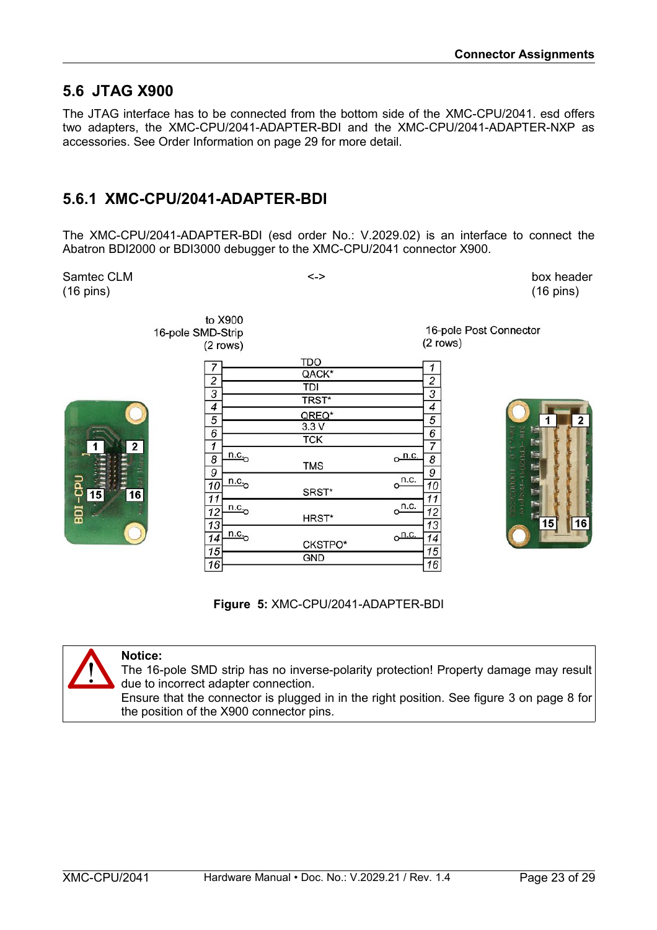### <span id="page-22-1"></span>**5.6 JTAG X900**

The JTAG interface has to be connected from the bottom side of the XMC-CPU/2041. esd offers two adapters, the XMC-CPU/2041-ADAPTER-BDI and the XMC-CPU/2041-ADAPTER-NXP as accessories. See [Order Information](#page-28-0) on page [29](#page-28-0) for more detail.

### <span id="page-22-0"></span>**5.6.1 XMC-CPU/2041-ADAPTER-BDI**

The XMC-CPU/2041-ADAPTER-BDI (esd order No.: V.2029.02) is an interface to connect the Abatron BDI2000 or BDI3000 debugger to the XMC-CPU/2041 connector X900.

Samtec CLM  $\le$  >  $\le$  box header (16 pins) (16 pins) to X900 16-pole Post Connector 16-pole SMD-Strip  $(2$  rows)  $(2$  rows) **TDO**  $\overline{7}$  $\overline{1}$ QACK\*  $\overline{2}$  $\overline{2}$ TDI  $\overline{3}$  $\overline{3}$ TRST\*  $\overline{4}$  $\overline{4}$ QREQ\*  $\overline{5}$  $\overline{5}$ 1 2  $3.3V$  $\overline{6}$  $\overline{6}$  $\overline{\text{TCK}}$  $\overline{2}$  $\overline{1}$  $\overline{7}$  $n.c.$ <u>n.c.</u> 8 8 **TMS**  $\overline{g}$  $\overline{9}$  $n.c.,$  $n.c.$  $10$  $10$ SRST\* 16  $\overline{11}$ 11  $o<sup>n.c.</sup>$  $n.c.$  $12$  $12$ HRST\*  $13$  $13$ 15 16  $n.c.$  $n.c$  $\overline{14}$  $\overline{14}$ CKSTPO\*  $\overline{15}$  $\overline{15}$ **GND** 16 16

**Figure 5:** XMC-CPU/2041-ADAPTER-BDI



#### **Notice:**

The 16-pole SMD strip has no inverse-polarity protection! Property damage may result due to incorrect adapter connection.

Ensure that the connector is plugged in in the right position. See figure [3](#page-7-2) on page [8](#page-7-2) for the position of the X900 connector pins.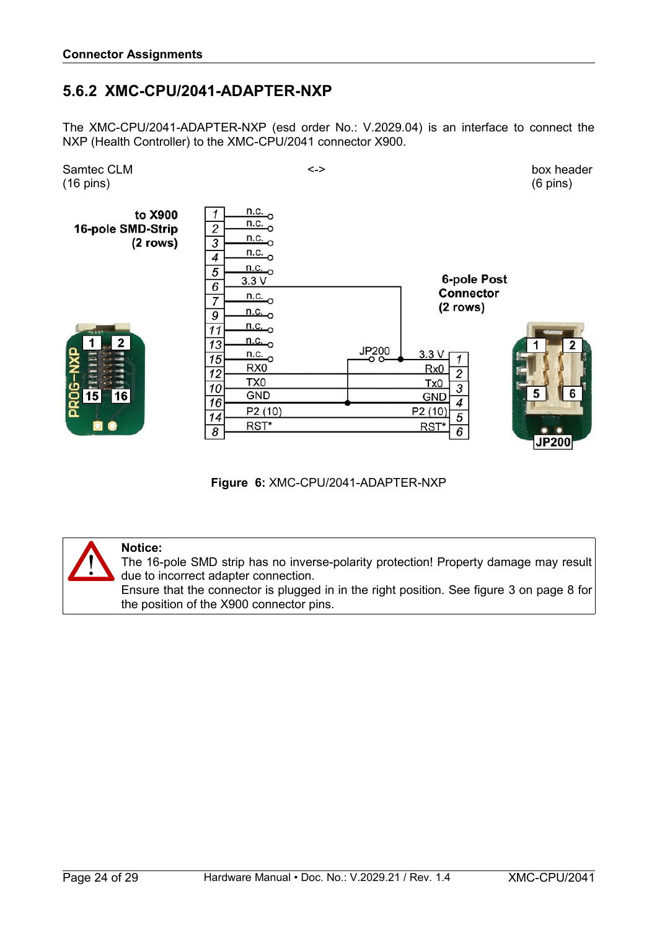### <span id="page-23-0"></span>**5.6.2 XMC-CPU/2041-ADAPTER-NXP**

The XMC-CPU/2041-ADAPTER-NXP (esd order No.: V.2029.04) is an interface to connect the NXP (Health Controller) to the XMC-CPU/2041 connector X900.



**Figure 6:** XMC-CPU/2041-ADAPTER-NXP



#### **Notice:**

The 16-pole SMD strip has no inverse-polarity protection! Property damage may result due to incorrect adapter connection.

Ensure that the connector is plugged in in the right position. See figure [3](#page-7-2) on page [8](#page-7-2) for the position of the X900 connector pins.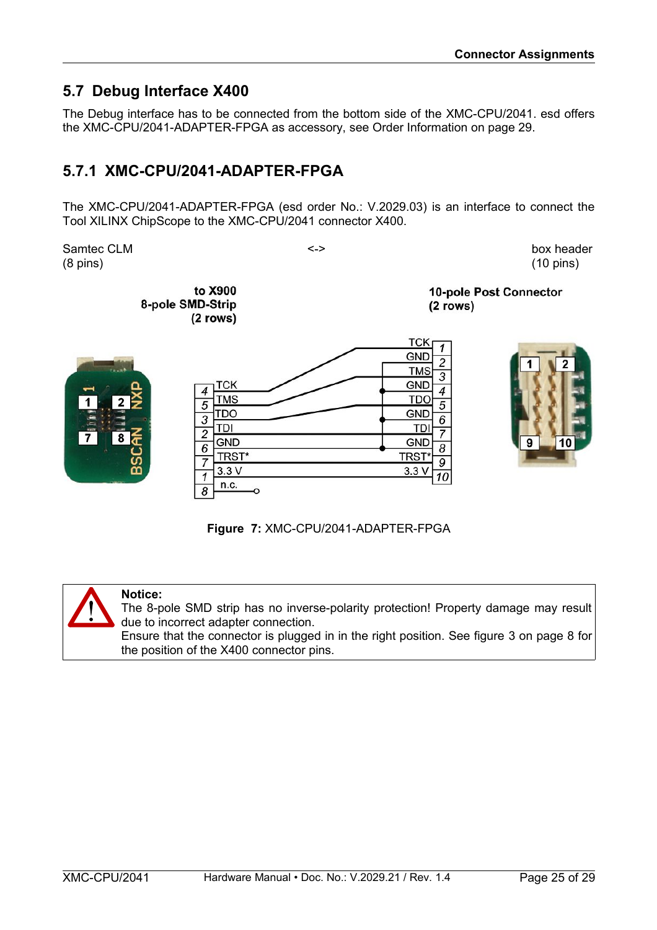### <span id="page-24-1"></span>**5.7 Debug Interface X400**

The Debug interface has to be connected from the bottom side of the XMC-CPU/2041. esd offers the XMC-CPU/2041-ADAPTER-FPGA as accessory, see [Order Information](#page-28-0) on page [29.](#page-28-0)

### <span id="page-24-0"></span>**5.7.1 XMC-CPU/2041-ADAPTER-FPGA**

The XMC-CPU/2041-ADAPTER-FPGA (esd order No.: V.2029.03) is an interface to connect the Tool XILINX ChipScope to the XMC-CPU/2041 connector X400.

Samtec CLM  $\leftarrow$   $\leftarrow$   $\leftarrow$   $\leftarrow$   $\leftarrow$   $\leftarrow$  box header (8 pins) (10 pins)

to X900 8-pole SMD-Strip (2 rows)

10-pole Post Connector  $(2$  rows)





#### **Figure 7:** XMC-CPU/2041-ADAPTER-FPGA



#### **Notice:**

The 8-pole SMD strip has no inverse-polarity protection! Property damage may result due to incorrect adapter connection.

Ensure that the connector is plugged in in the right position. See figure [3](#page-7-2) on page [8](#page-7-2) for the position of the X400 connector pins.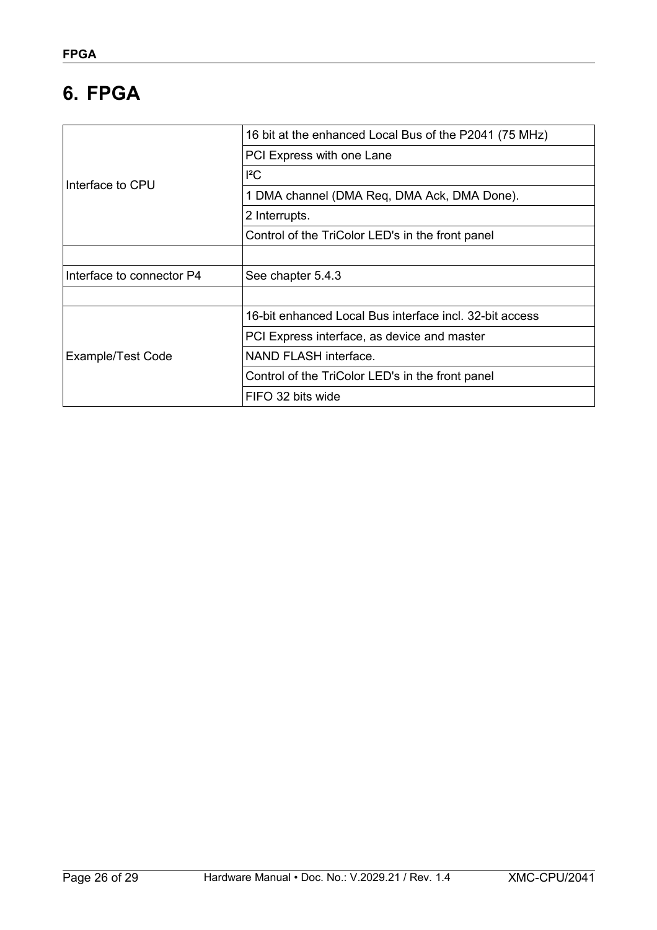# <span id="page-25-0"></span>**6. FPGA**

|                           | 16 bit at the enhanced Local Bus of the P2041 (75 MHz)  |
|---------------------------|---------------------------------------------------------|
|                           |                                                         |
|                           | PCI Express with one Lane                               |
| Interface to CPU          | ${}^{12}C$                                              |
|                           | 1 DMA channel (DMA Req, DMA Ack, DMA Done).             |
|                           | 2 Interrupts.                                           |
|                           | Control of the TriColor LED's in the front panel        |
|                           |                                                         |
| Interface to connector P4 | See chapter 5.4.3                                       |
|                           |                                                         |
|                           | 16-bit enhanced Local Bus interface incl. 32-bit access |
|                           | PCI Express interface, as device and master             |
| Example/Test Code         | NAND FLASH interface.                                   |
|                           | Control of the TriColor LED's in the front panel        |
|                           | FIFO 32 bits wide                                       |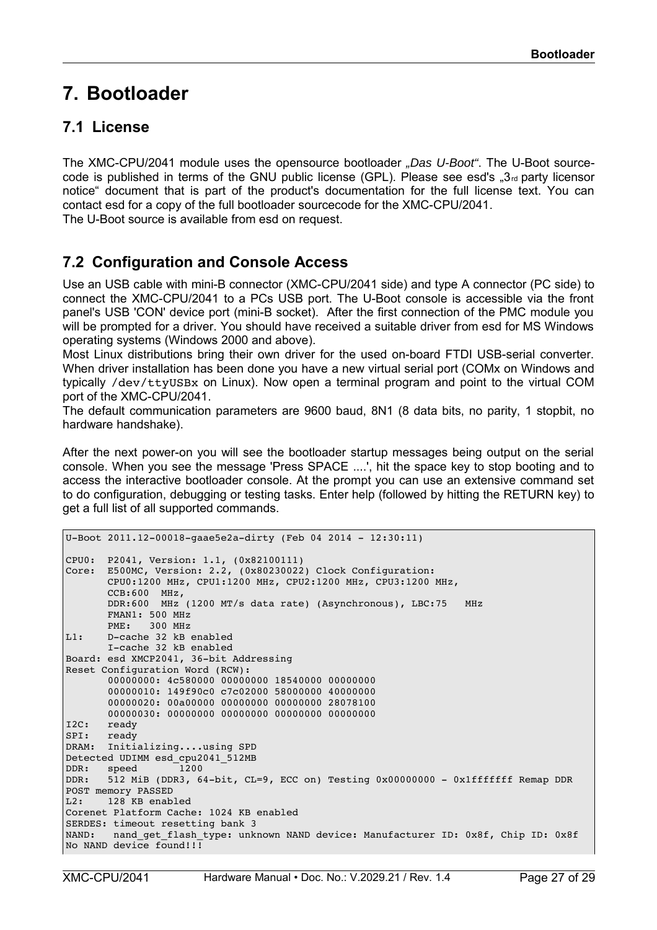# <span id="page-26-2"></span>**7. Bootloader**

### <span id="page-26-1"></span>**7.1 License**

The XMC-CPU/2041 module uses the opensource bootloader *"Das U-Boot"*. The U-Boot sourcecode is published in terms of the GNU public license (GPL). Please see esd's  $\frac{1}{2}$ , 3<sup>rd</sup> party licensor notice" document that is part of the product's documentation for the full license text. You can contact esd for a copy of the full bootloader sourcecode for the XMC-CPU/2041. The U-Boot source is available from esd on request.

### <span id="page-26-0"></span>**7.2 Configuration and Console Access**

Use an USB cable with mini-B connector (XMC-CPU/2041 side) and type A connector (PC side) to connect the XMC-CPU/2041 to a PCs USB port. The U-Boot console is accessible via the front panel's USB 'CON' device port (mini-B socket). After the first connection of the PMC module you will be prompted for a driver. You should have received a suitable driver from esd for MS Windows operating systems (Windows 2000 and above).

Most Linux distributions bring their own driver for the used on-board FTDI USB-serial converter. When driver installation has been done you have a new virtual serial port (COMx on Windows and typically /dev/ttyUSBx on Linux). Now open a terminal program and point to the virtual COM port of the XMC-CPU/2041.

The default communication parameters are 9600 baud, 8N1 (8 data bits, no parity, 1 stopbit, no hardware handshake).

After the next power-on you will see the bootloader startup messages being output on the serial console. When you see the message 'Press SPACE ....', hit the space key to stop booting and to access the interactive bootloader console. At the prompt you can use an extensive command set to do configuration, debugging or testing tasks. Enter help (followed by hitting the RETURN key) to get a full list of all supported commands.

```
U-Boot 2011.12-00018-gaae5e2a-dirty (Feb 04 2014 - 12:30:11)
CPU0: P2041, Version: 1.1, (0x82100111)
Core: E500MC, Version: 2.2, (0x80230022) Clock Configuration:
        CPU0:1200 MHz, CPU1:1200 MHz, CPU2:1200 MHz, CPU3:1200 MHz,
        CCB:600 MHz,
        DDR:600 MHz (1200 MT/s data rate) (Asynchronous), LBC:75 MHz
        FMAN1: 500 MHz
        PME: 300 MHz
L1: D-cache 32 kB enabled
       I-cache 32 kB enabled
Board: esd XMCP2041, 36-bit Addressing
Reset Configuration Word (RCW):
        00000000: 4c580000 00000000 18540000 00000000
       00000010: 149f90c0 c7c02000 58000000 40000000
        00000020: 00a00000 00000000 00000000 28078100
        00000030: 00000000 00000000 00000000 00000000
I2C: ready
SPI: ready
DRAM: Initializing....using SPD
Detected UDIMM esd_cpu2041_512MB
DDR: speed 1200
DDR: 512 MiB (DDR3, 64-bit, CL=9, ECC on) Testing 0x00000000 - 0x1fffffff Remap DDR 
POST memory PASSED
L2: 128 KB enabled
Corenet Platform Cache: 1024 KB enabled
SERDES: timeout resetting bank 3
NAND: nand_get_flash_type: unknown NAND device: Manufacturer ID: 0x8f, Chip ID: 0x8f 
No NAND device found!!!
```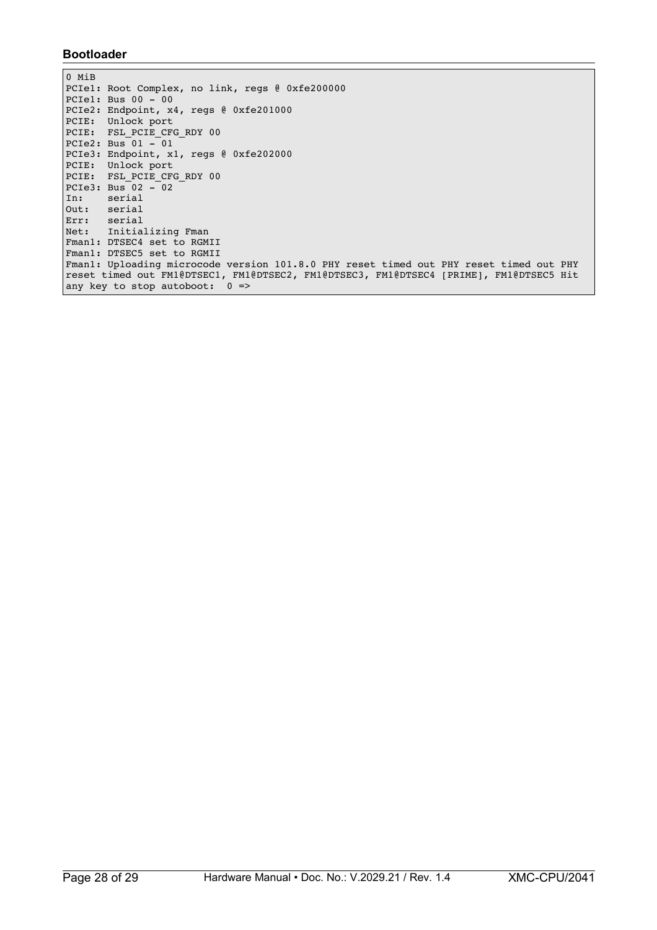#### **Bootloader**

```
0 MiB
PCIel: Root Complex, no link, regs @ 0xfe200000
PCIe1: Bus 00 - 00
PCIe2: Endpoint, x4, regs @ 0xfe201000
PCIE: Unlock port
PCIE: FSL PCIE CFG RDY 00
PCIe2: Bus 01 - 01
PCIe3: Endpoint, x1, regs @ 0xfe202000
PCIE: Unlock port
PCIE: FSL_PCIE_CFG_RDY 00
PCIe3: Bus 02 - 02<br>In: serial
In: serial<br>Out: serial
      serial
Err: serial
Net: Initializing Fman
Fman1: DTSEC4 set to RGMII
Fman1: DTSEC5 set to RGMII
Fman1: Uploading microcode version 101.8.0 PHY reset timed out PHY reset timed out PHY 
reset timed out FM1@DTSEC1, FM1@DTSEC2, FM1@DTSEC3, FM1@DTSEC4 [PRIME], FM1@DTSEC5 Hit 
any key to stop autoboot: 0 \Rightarrow
```